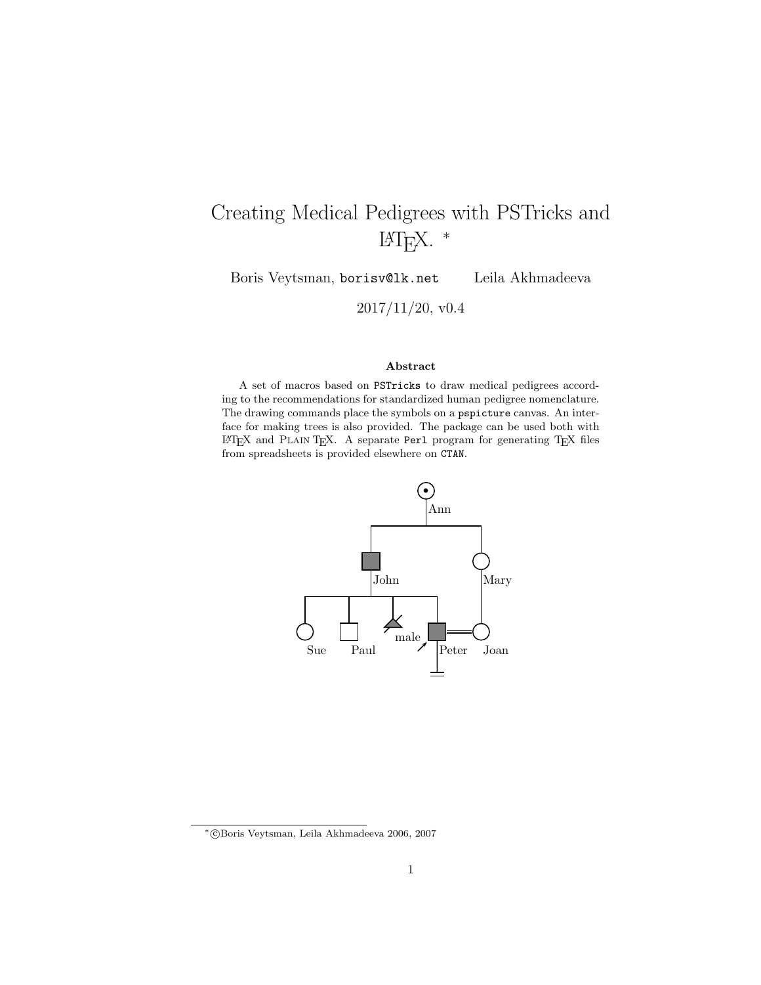# Creating Medical Pedigrees with PSTricks and LATEX. <sup>∗</sup>

Boris Veytsman, borisv@lk.net Leila Akhmadeeva

2017/11/20, v0.4

### Abstract

A set of macros based on PSTricks to draw medical pedigrees according to the recommendations for standardized human pedigree nomenclature. The drawing commands place the symbols on a pspicture canvas. An interface for making trees is also provided. The package can be used both with <sup>L</sup><sup>A</sup>TEX and Plain TEX. A separate Perl program for generating TEX files from spreadsheets is provided elsewhere on CTAN.



<sup>∗</sup> c Boris Veytsman, Leila Akhmadeeva 2006, 2007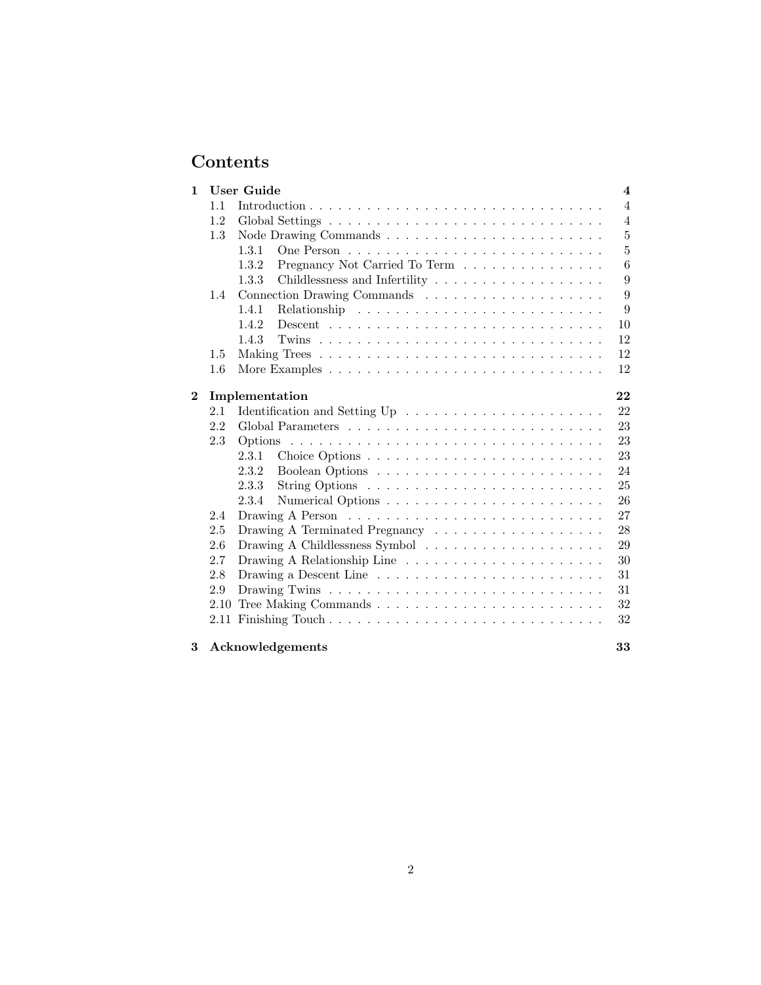# Contents

| $\mathbf{1}$ |         | <b>User Guide</b>                                                                                                             | $\overline{\mathbf{4}}$ |  |  |  |  |
|--------------|---------|-------------------------------------------------------------------------------------------------------------------------------|-------------------------|--|--|--|--|
|              | 1.1     |                                                                                                                               | $\overline{4}$          |  |  |  |  |
|              | 1.2     |                                                                                                                               | $\overline{4}$          |  |  |  |  |
|              | $1.3\,$ |                                                                                                                               | 5                       |  |  |  |  |
|              |         | 1.3.1                                                                                                                         | 5                       |  |  |  |  |
|              |         | 1.3.2<br>Pregnancy Not Carried To Term                                                                                        | 6                       |  |  |  |  |
|              |         | 1.3.3                                                                                                                         | 9                       |  |  |  |  |
|              | 1.4     |                                                                                                                               | 9                       |  |  |  |  |
|              |         | 1.4.1                                                                                                                         | 9                       |  |  |  |  |
|              |         | 1.4.2<br>$Descent \dots \dots \dots \dots \dots \dots \dots \dots \dots \dots \dots \dots \dots$                              | 10                      |  |  |  |  |
|              |         | 1.4.3                                                                                                                         | 12                      |  |  |  |  |
|              | 1.5     |                                                                                                                               | 12                      |  |  |  |  |
|              | $1.6\,$ | More Examples $\dots \dots \dots \dots \dots \dots \dots \dots \dots \dots \dots$                                             | 12                      |  |  |  |  |
|              |         |                                                                                                                               |                         |  |  |  |  |
| $\bf{2}$     |         | 22<br>Implementation                                                                                                          |                         |  |  |  |  |
|              | 2.1     |                                                                                                                               | 22                      |  |  |  |  |
|              | 2.2     |                                                                                                                               | 23                      |  |  |  |  |
|              | 2.3     |                                                                                                                               | 23                      |  |  |  |  |
|              |         | 2.3.1                                                                                                                         | 23                      |  |  |  |  |
|              |         | 2.3.2                                                                                                                         | 24                      |  |  |  |  |
|              |         | 2.3.3                                                                                                                         | 25                      |  |  |  |  |
|              |         | 2.3.4                                                                                                                         | 26                      |  |  |  |  |
|              | 2.4     |                                                                                                                               | 27                      |  |  |  |  |
|              | 2.5     |                                                                                                                               | 28                      |  |  |  |  |
|              | 2.6     |                                                                                                                               | 29                      |  |  |  |  |
|              | 2.7     |                                                                                                                               | 30                      |  |  |  |  |
|              | 2.8     | Drawing a Descent Line $\phantom{a} \ldots \phantom{a} \ldots \ldots \ldots \ldots \ldots \ldots \ldots \ldots \ldots \ldots$ | 31                      |  |  |  |  |
|              | 2.9     |                                                                                                                               | 31                      |  |  |  |  |
|              | 2.10    |                                                                                                                               | $32\,$                  |  |  |  |  |
|              |         |                                                                                                                               | 32                      |  |  |  |  |
| 3            |         | Acknowledgements                                                                                                              | 33                      |  |  |  |  |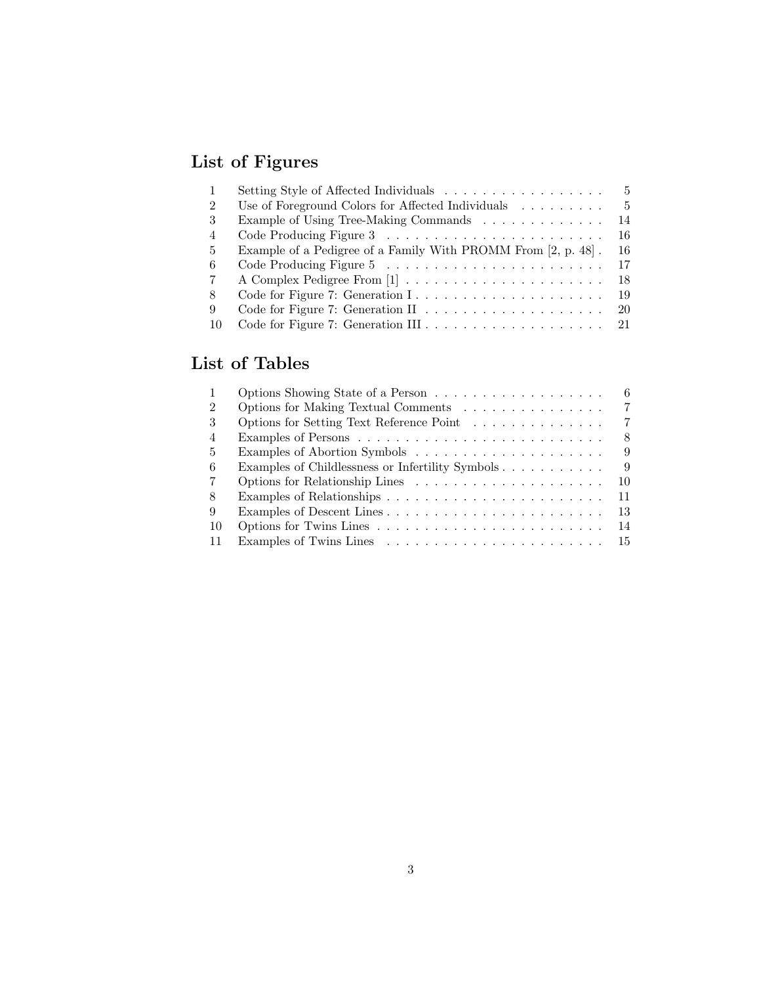# List of Figures

|                | Setting Style of Affected Individuals                         | $\frac{5}{2}$ |
|----------------|---------------------------------------------------------------|---------------|
| $\overline{2}$ | Use of Foreground Colors for Affected Individuals             | - 5           |
| 3              | Example of Using Tree-Making Commands                         | 14            |
| 4              |                                                               | 16            |
| 5.             | Example of a Pedigree of a Family With PROMM From [2, p. 48]. | 16            |
| 6              |                                                               | 17            |
| 7              | A Complex Pedigree From [1]                                   | 18            |
| 8              |                                                               | - 19          |
| 9              |                                                               | -20           |
| 10             |                                                               |               |

# List of Tables

|                | 6.                                                    |
|----------------|-------------------------------------------------------|
| 2              | 7<br>Options for Making Textual Comments              |
| 3              | 7<br>Options for Setting Text Reference Point         |
| $\overline{4}$ | 8                                                     |
| 5              | 9                                                     |
| 6              | Examples of Childlessness or Infertility Symbols<br>9 |
| 7              | 10                                                    |
| 8              | 11                                                    |
| 9              | 13<br>Examples of Descent Lines                       |
| 10             | 14                                                    |
|                | -15                                                   |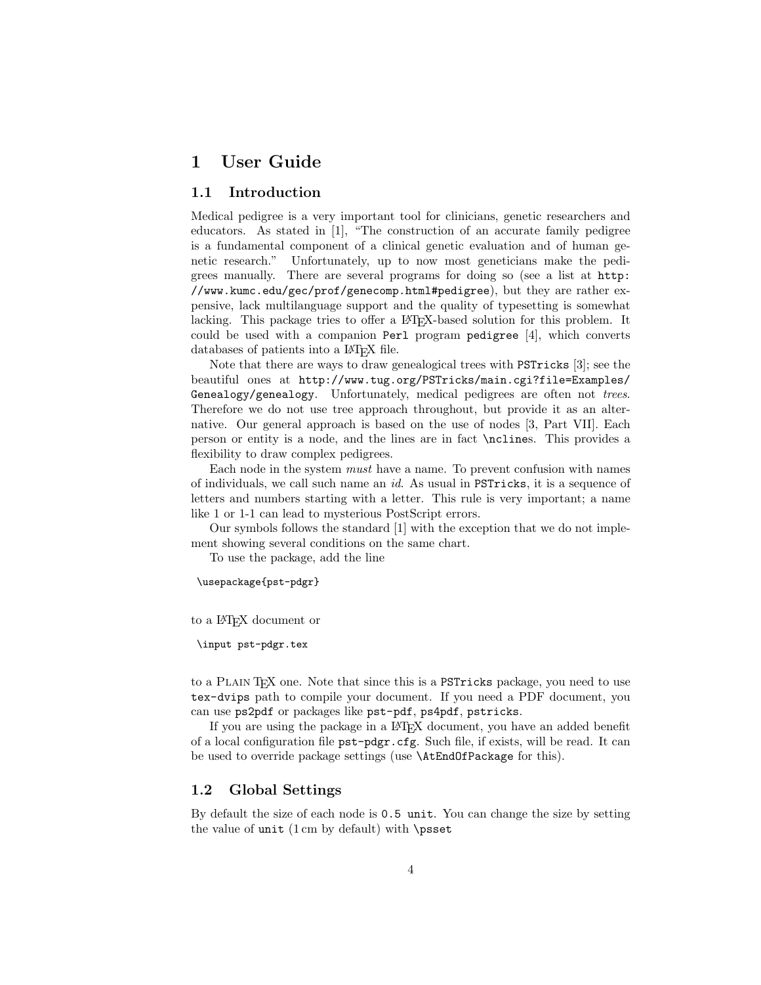# 1 User Guide

## 1.1 Introduction

Medical pedigree is a very important tool for clinicians, genetic researchers and educators. As stated in [1], "The construction of an accurate family pedigree is a fundamental component of a clinical genetic evaluation and of human genetic research." Unfortunately, up to now most geneticians make the pedigrees manually. There are several programs for doing so (see a list at http: //www.kumc.edu/gec/prof/genecomp.html#pedigree), but they are rather expensive, lack multilanguage support and the quality of typesetting is somewhat lacking. This package tries to offer a LAT<sub>EX</sub>-based solution for this problem. It could be used with a companion Perl program pedigree [4], which converts databases of patients into a L<sup>AT</sup>EX file.

Note that there are ways to draw genealogical trees with PSTricks [3]; see the beautiful ones at http://www.tug.org/PSTricks/main.cgi?file=Examples/ Genealogy/genealogy. Unfortunately, medical pedigrees are often not trees. Therefore we do not use tree approach throughout, but provide it as an alternative. Our general approach is based on the use of nodes [3, Part VII]. Each person or entity is a node, and the lines are in fact \nclines. This provides a flexibility to draw complex pedigrees.

Each node in the system must have a name. To prevent confusion with names of individuals, we call such name an id. As usual in PSTricks, it is a sequence of letters and numbers starting with a letter. This rule is very important; a name like 1 or 1-1 can lead to mysterious PostScript errors.

Our symbols follows the standard [1] with the exception that we do not implement showing several conditions on the same chart.

To use the package, add the line

\usepackage{pst-pdgr}

to a L<sup>A</sup>TEX document or

\input pst-pdgr.tex

to a Plain TEX one. Note that since this is a PSTricks package, you need to use tex-dvips path to compile your document. If you need a PDF document, you can use ps2pdf or packages like pst-pdf, ps4pdf, pstricks.

If you are using the package in a IAT<sub>EX</sub> document, you have an added benefit of a local configuration file pst-pdgr.cfg. Such file, if exists, will be read. It can be used to override package settings (use \AtEndOfPackage for this).

### 1.2 Global Settings

By default the size of each node is 0.5 unit. You can change the size by setting the value of unit  $(1 \text{ cm})$  by default) with \psset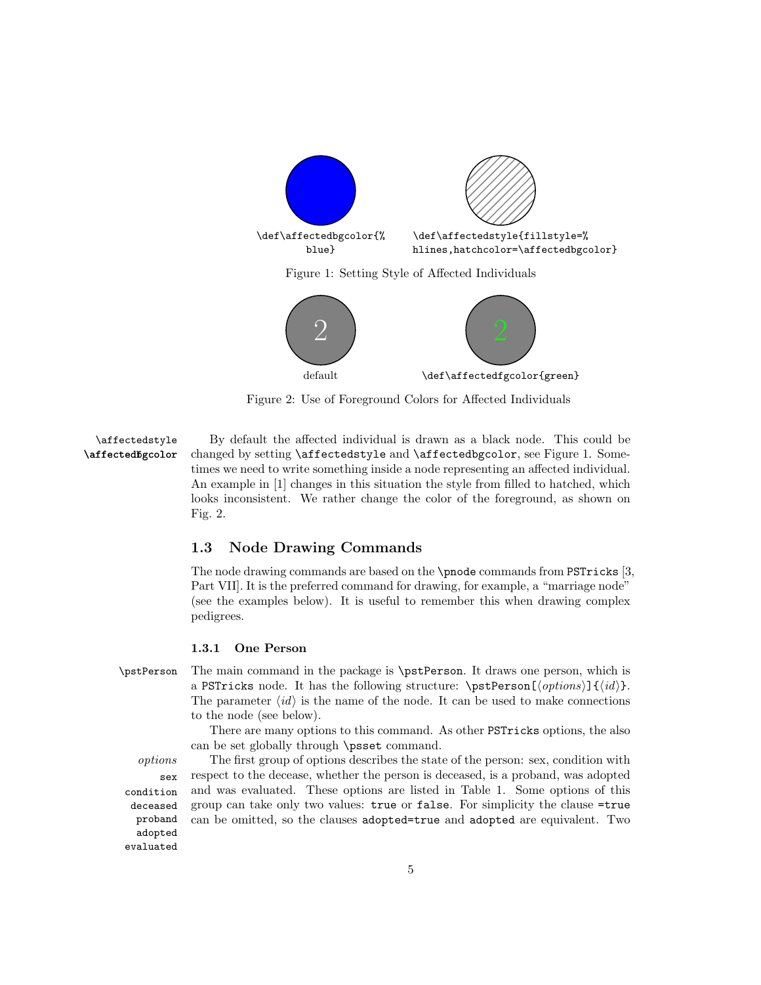

Figure 1: Setting Style of Affected Individuals



Figure 2: Use of Foreground Colors for Affected Individuals

\affectedstyle By default the affected individual is drawn as a black node. This could be \affectedfgcolor changed by setting \affectedstyle and \affectedbgcolor, see Figure 1. Sometimes we need to write something inside a node representing an affected individual. An example in [1] changes in this situation the style from filled to hatched, which looks inconsistent. We rather change the color of the foreground, as shown on Fig. 2.

## 1.3 Node Drawing Commands

The node drawing commands are based on the \pnode commands from PSTricks [3, Part VII]. It is the preferred command for drawing, for example, a "marriage node" (see the examples below). It is useful to remember this when drawing complex pedigrees.

### 1.3.1 One Person

\pstPerson The main command in the package is \pstPerson. It draws one person, which is a PSTricks node. It has the following structure:  $\partial \left\{\phi\right\} = \left\{\phi\right\}.$ The parameter  $\langle id \rangle$  is the name of the node. It can be used to make connections to the node (see below).

> There are many options to this command. As other PSTricks options, the also can be set globally through \psset command.

sex condition deceased proband adopted evaluated

options The first group of options describes the state of the person: sex, condition with respect to the decease, whether the person is deceased, is a proband, was adopted and was evaluated. These options are listed in Table 1. Some options of this group can take only two values: true or false. For simplicity the clause =true can be omitted, so the clauses adopted=true and adopted are equivalent. Two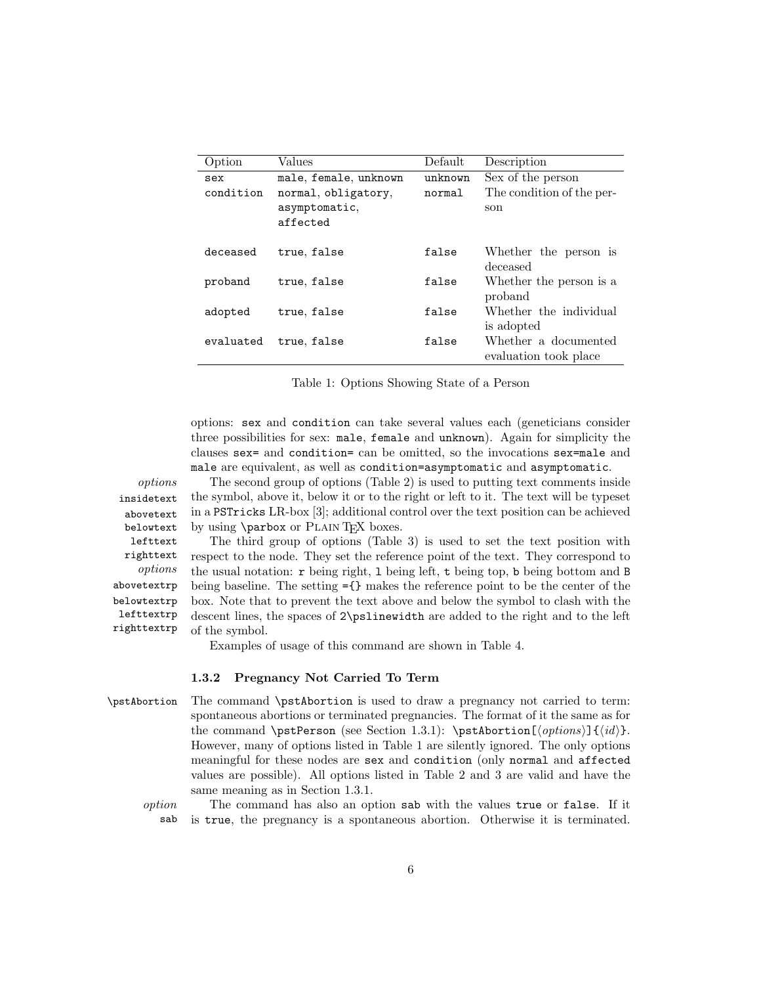| Option    | Values                | Default | Description               |
|-----------|-----------------------|---------|---------------------------|
| sex       | male, female, unknown | unknown | Sex of the person         |
| condition | normal, obligatory,   | normal  | The condition of the per- |
|           | asymptomatic,         |         | son                       |
|           | affected              |         |                           |
|           |                       |         |                           |
| deceased  | true, false           | false   | Whether the person is     |
|           |                       |         | deceased                  |
| proband   | true, false           | false   | Whether the person is a   |
|           |                       |         | proband                   |
| adopted   | true, false           | false   | Whether the individual    |
|           |                       |         | is adopted                |
| evaluated | true, false           | false   | Whether a documented      |
|           |                       |         | evaluation took place     |

Table 1: Options Showing State of a Person

options: sex and condition can take several values each (geneticians consider three possibilities for sex: male, female and unknown). Again for simplicity the clauses sex= and condition= can be omitted, so the invocations sex=male and male are equivalent, as well as condition=asymptomatic and asymptomatic.

options The second group of options (Table 2) is used to putting text comments inside the symbol, above it, below it or to the right or left to it. The text will be typeset in a PSTricks LR-box [3]; additional control over the text position can be achieved by using **\parbox** or PLAIN T<sub>E</sub>X boxes.

> The third group of options (Table 3) is used to set the text position with respect to the node. They set the reference point of the text. They correspond to the usual notation: r being right, l being left, t being top, b being bottom and B being baseline. The setting ={} makes the reference point to be the center of the box. Note that to prevent the text above and below the symbol to clash with the descent lines, the spaces of 2\pslinewidth are added to the right and to the left of the symbol.

Examples of usage of this command are shown in Table 4.

### 1.3.2 Pregnancy Not Carried To Term

\pstAbortion The command \pstAbortion is used to draw a pregnancy not carried to term: spontaneous abortions or terminated pregnancies. The format of it the same as for the command \pstPerson (see Section 1.3.1): \pstAbortion[\left(options\)]{\id\}. However, many of options listed in Table 1 are silently ignored. The only options meaningful for these nodes are sex and condition (only normal and affected values are possible). All options listed in Table 2 and 3 are valid and have the same meaning as in Section 1.3.1.

option The command has also an option sab with the values true or false. If it sab is true, the pregnancy is a spontaneous abortion. Otherwise it is terminated.

insidetext abovetext belowtext lefttext righttext options abovetextrp belowtextrp lefttextrp righttextrp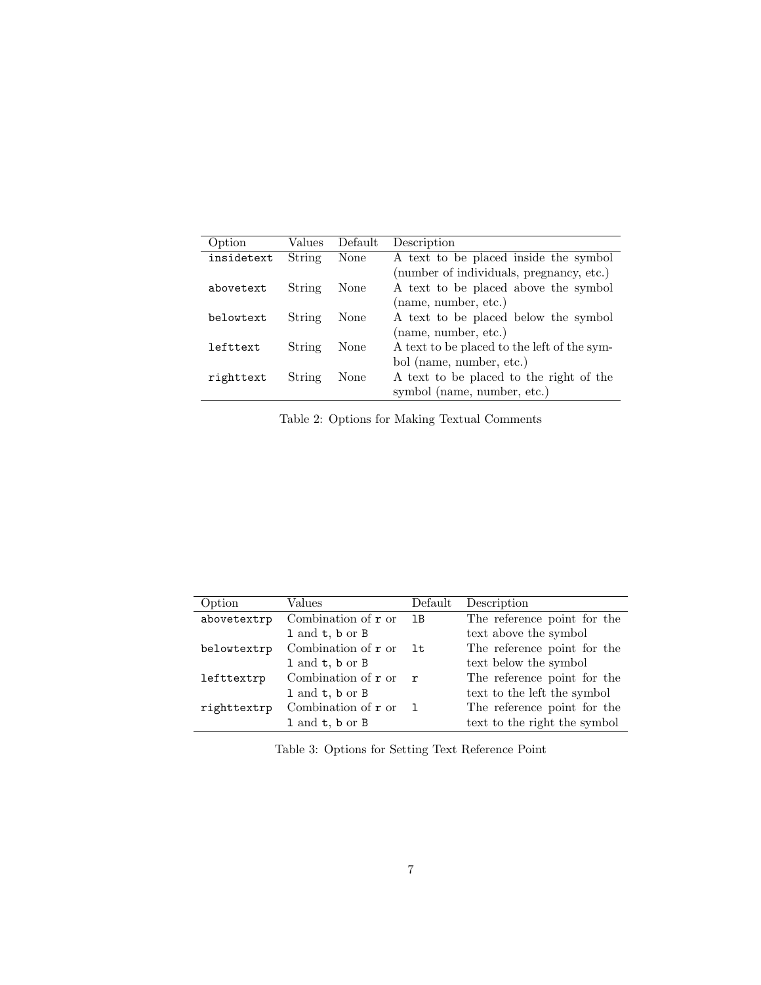| Option     | Values | Default | Description                                 |
|------------|--------|---------|---------------------------------------------|
| insidetext | String | None    | A text to be placed inside the symbol       |
|            |        |         | (number of individuals, pregnancy, etc.)    |
| abovetext  | String | None    | A text to be placed above the symbol        |
|            |        |         | (name, number, etc.)                        |
| belowtext  | String | None    | A text to be placed below the symbol        |
|            |        |         | (name, number, etc.)                        |
| lefttext   | String | None    | A text to be placed to the left of the sym- |
|            |        |         | bol (name, number, etc.)                    |
| righttext  | String | None    | A text to be placed to the right of the     |
|            |        |         | symbol (name, number, etc.)                 |

Table 2: Options for Making Textual Comments

| Option      | Values                        | Default       | Description                  |
|-------------|-------------------------------|---------------|------------------------------|
| abovetextrp | Combination of $r$ or         | <sup>1B</sup> | The reference point for the  |
|             | $1$ and $t$ , $b$ or $B$      |               | text above the symbol        |
| belowtextrp | Combination of $\mathbf r$ or | lt            | The reference point for the  |
|             | $1$ and $t$ , $b$ or $B$      |               | text below the symbol        |
| lefttextrp  | Combination of $r$ or         | $\mathbf{r}$  | The reference point for the  |
|             | $1$ and $t$ , $b$ or $B$      |               | text to the left the symbol  |
| righttextrp | Combination of $r$ or         |               | The reference point for the  |
|             | 1 and t, b or B               |               | text to the right the symbol |

Table 3: Options for Setting Text Reference Point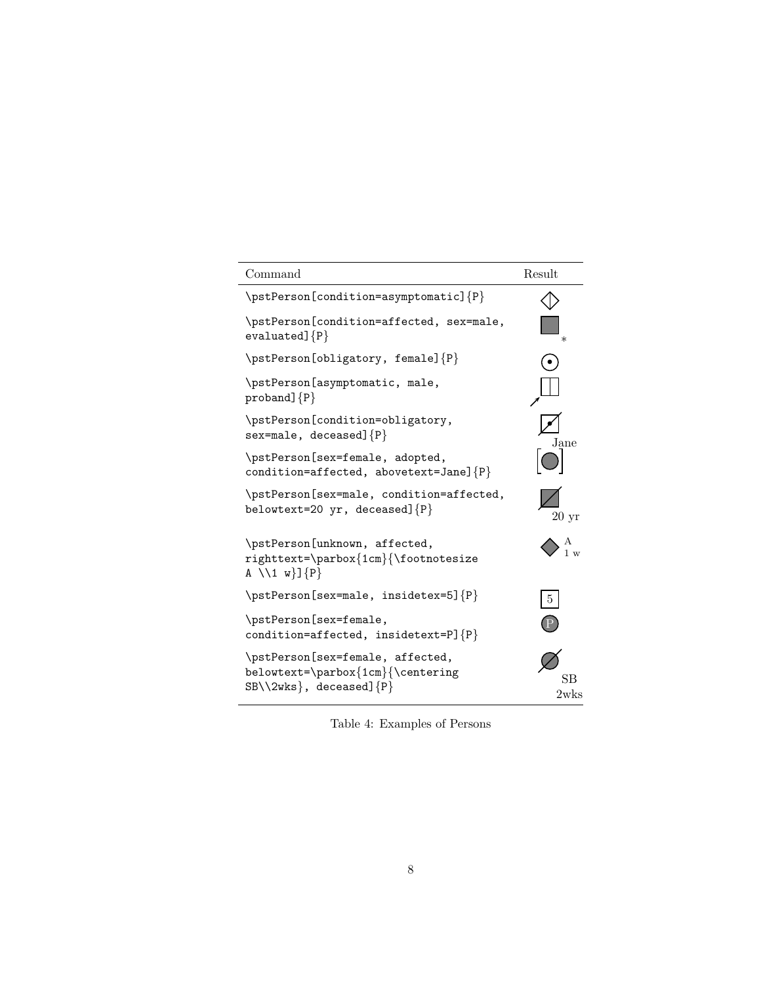| Command                                                                                                        | Result     |
|----------------------------------------------------------------------------------------------------------------|------------|
| \pstPerson[condition=asymptomatic]{P}                                                                          |            |
| \pstPerson[condition=affected, sex=male,<br>$evaluated]{P}$                                                    | $\ast$     |
| \pstPerson[obligatory, female]{P}                                                                              |            |
| \pstPerson[asymptomatic, male,<br>$proband$ ] $\{P\}$                                                          |            |
| \pstPerson[condition=obligatory,<br>sex=male, deceased] ${P}$                                                  | Jane       |
| \pstPerson[sex=female, adopted,<br>condition=affected, abovetext=Jane] ${P}$                                   |            |
| \pstPerson[sex=male, condition=affected,<br>belowtext=20 yr, deceased] $P$                                     | 20~yr      |
| \pstPerson[unknown, affected,<br>righttext=\parbox{1cm}{\footnotesize<br>A $\lceil 1 w \rceil$ {P}             |            |
| \pstPerson[sex=male, insidetex=5]{P}                                                                           | 5          |
| \pstPerson[sex=female,<br>condition=affected, insidetext=P] ${P}$                                              |            |
| \pstPerson[sex=female, affected,<br>belowtext=\parbox{1cm}{\centering<br>$SB\Upsilon\$ wks}, deceased] $\{P\}$ | SВ<br>2wks |

Table 4: Examples of Persons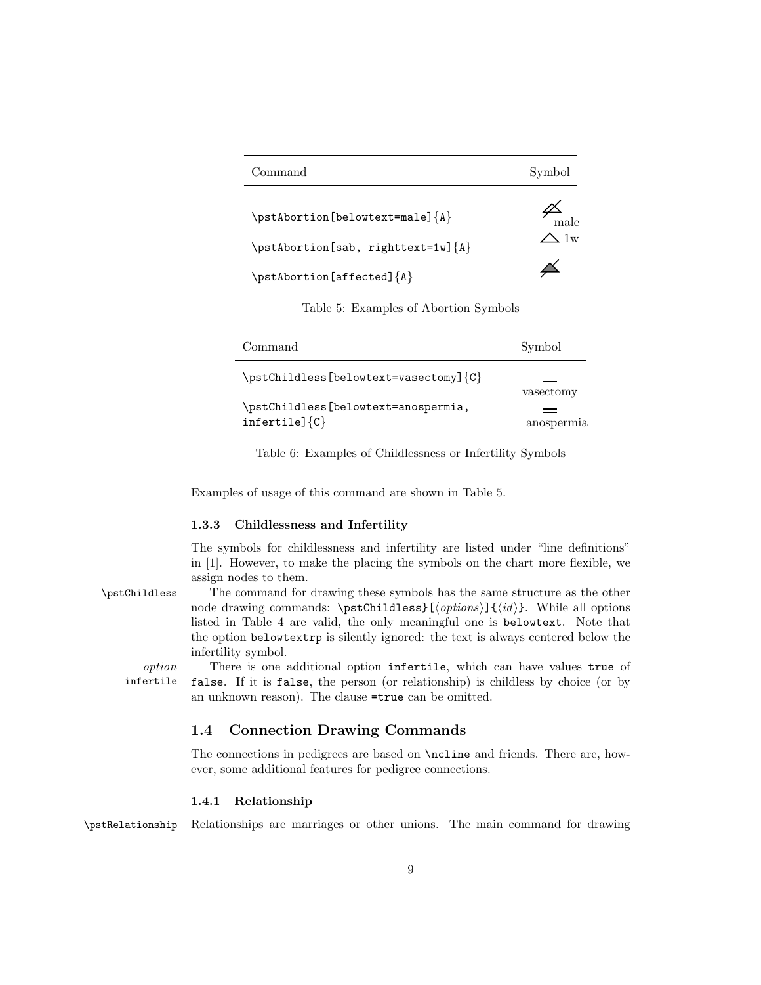| Command                                 | Symbol         |
|-----------------------------------------|----------------|
| $\beta_{A}$                             | male           |
| \pstAbortion[sab, righttext=1w]{A}      | $\bigwedge$ 1w |
| $\mathcal{A}$ bortion[affected] $\{A\}$ |                |

Table 5: Examples of Abortion Symbols

| Command                                                      | Symbol     |
|--------------------------------------------------------------|------------|
| $\text{F}(\text{C}-\text{C})$                                | vasectomy  |
| \pstChildless[belowtext=anospermia,<br>$infertile$ ] $\{C\}$ | anospermia |

Table 6: Examples of Childlessness or Infertility Symbols

Examples of usage of this command are shown in Table 5.

### 1.3.3 Childlessness and Infertility

The symbols for childlessness and infertility are listed under "line definitions" in [1]. However, to make the placing the symbols on the chart more flexible, we assign nodes to them.

\pstChildless The command for drawing these symbols has the same structure as the other node drawing commands: \pstChildless}[\(options)]{\\ampmand{did}}. While all options listed in Table 4 are valid, the only meaningful one is belowtext. Note that the option belowtextrp is silently ignored: the text is always centered below the infertility symbol.

option There is one additional option infertile, which can have values true of infertile false. If it is false, the person (or relationship) is childless by choice (or by an unknown reason). The clause =true can be omitted.

### 1.4 Connection Drawing Commands

The connections in pedigrees are based on \ncline and friends. There are, however, some additional features for pedigree connections.

### 1.4.1 Relationship

\pstRelationship Relationships are marriages or other unions. The main command for drawing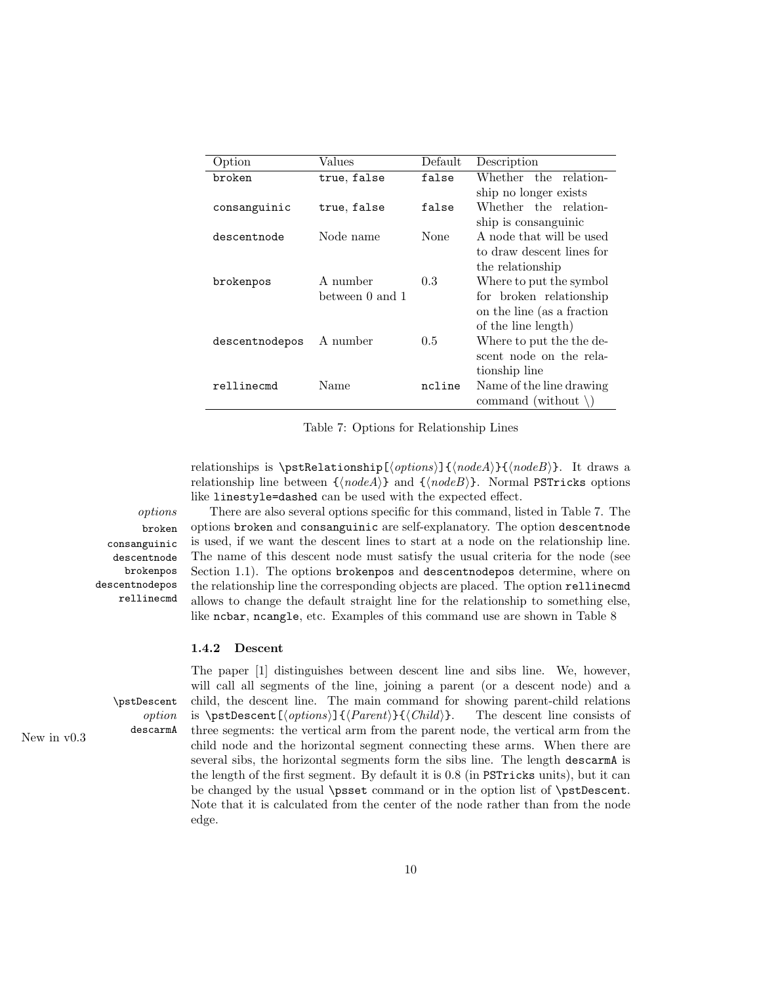| Option         | Values          | Default | Description                    |  |
|----------------|-----------------|---------|--------------------------------|--|
| broken         | true, false     | false   | Whether the relation-          |  |
|                |                 |         | ship no longer exists          |  |
| consanguinic   | true, false     | false   | Whether the relation-          |  |
|                |                 |         | ship is consanguinic           |  |
| descentnode    | Node name       | None    | A node that will be used       |  |
|                |                 |         | to draw descent lines for      |  |
|                |                 |         | the relationship               |  |
| brokenpos      | A number        | 0.3     | Where to put the symbol        |  |
|                | between 0 and 1 |         | for broken relationship        |  |
|                |                 |         | on the line (as a fraction     |  |
|                |                 |         | of the line length)            |  |
| descentnodepos | A number        | 0.5     | Where to put the the de-       |  |
|                |                 |         | scent node on the rela-        |  |
|                |                 |         | tionship line                  |  |
| rellinecmd     | Name            | ncline  | Name of the line drawing       |  |
|                |                 |         | command (without $\setminus$ ) |  |

Table 7: Options for Relationship Lines

relationships is  $\mathcal{h}(\phi)$  (*nodeA*}{(*nodeB*}. It draws a relationship line between  ${\langle \text{node}A \rangle}$  and  ${\langle \text{node}B \rangle}$ . Normal PSTricks options like linestyle=dashed can be used with the expected effect.

broken consanguinic descentnode brokenpos descentnodepos rellinecmd

options There are also several options specific for this command, listed in Table 7. The options broken and consanguinic are self-explanatory. The option descentnode is used, if we want the descent lines to start at a node on the relationship line. The name of this descent node must satisfy the usual criteria for the node (see Section 1.1). The options brokenpos and descentnodepos determine, where on the relationship line the corresponding objects are placed. The option rellinecmd allows to change the default straight line for the relationship to something else, like ncbar, ncangle, etc. Examples of this command use are shown in Table 8

#### 1.4.2 Descent

The paper [1] distinguishes between descent line and sibs line. We, however, will call all segments of the line, joining a parent (or a descent node) and a \pstDescent child, the descent line. The main command for showing parent-child relations option is  $\mathcal{\otimes}\{{Parent}\}\{\langle Child\rangle\}.$  The descent line consists of New in v0.3 descarmA three segments: the vertical arm from the parent node, the vertical arm from the child node and the horizontal segment connecting these arms. When there are several sibs, the horizontal segments form the sibs line. The length descarmA is the length of the first segment. By default it is 0.8 (in PSTricks units), but it can be changed by the usual \psset command or in the option list of \pstDescent. Note that it is calculated from the center of the node rather than from the node edge.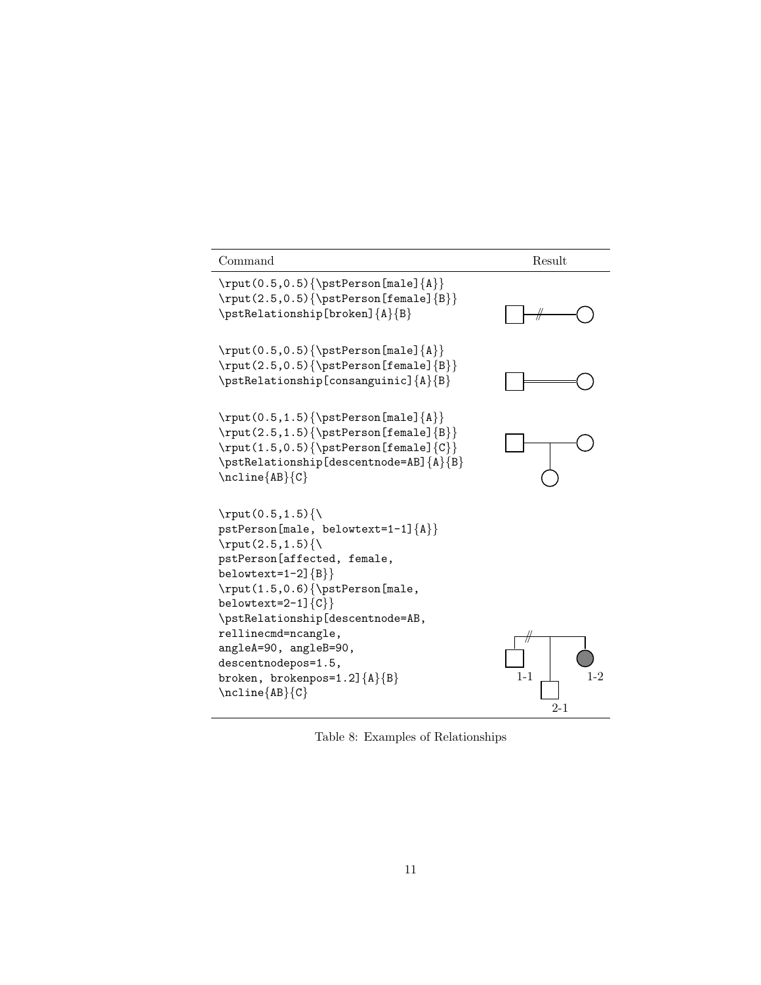| Command                                                                                                                                                                                                                                                                                                                                                                     | Result             |
|-----------------------------------------------------------------------------------------------------------------------------------------------------------------------------------------------------------------------------------------------------------------------------------------------------------------------------------------------------------------------------|--------------------|
| \rput(0.5,0.5){\pstPerson[male] ${A}$ }<br>\rput(2.5,0.5){\pstPerson[female]{B}}<br>\pstRelationship[broken]{A}{B}                                                                                                                                                                                                                                                          |                    |
| $\rput(0.5, 0.5){\pstPerson[male]}{A}$<br>$\rput(2.5, 0.5) {\bstrut}$ [female] {B}}<br>\pstRelationship[consanguinic]{A}{B}                                                                                                                                                                                                                                                 |                    |
| $\rput (0.5, 1.5) {\bstrut}$ Person[male] ${A}$ }<br>\rput(2.5,1.5){\pstPerson[female]{B}}<br>\rput(1.5,0.5){\pstPerson[female]{C}}<br>\pstRelationship[descentnode=AB]{A}{B}<br>$\n\ncline\{AB\}$                                                                                                                                                                          |                    |
| \rput $(0.5, 1.5)$<br>$pstPerson[male, belowtext=1-1]{A}$<br>\rput $(2.5, 1.5)$ {\<br>pstPerson[affected, female,<br>belowtext=1-2] ${B}$ }<br>\rput(1.5,0.6){\pstPerson[male,<br>belowtext=2-1] $\{C\}$<br>\pstRelationship[descentnode=AB,<br>rellinecmd=ncangle,<br>angleA=90, angleB=90,<br>descentnodepos=1.5,<br>broken, brokenpos=1.2] ${A}{B}$<br>$\n\ncline\{AB\}$ | $1 - 1$<br>$2 - 1$ |

Table 8: Examples of Relationships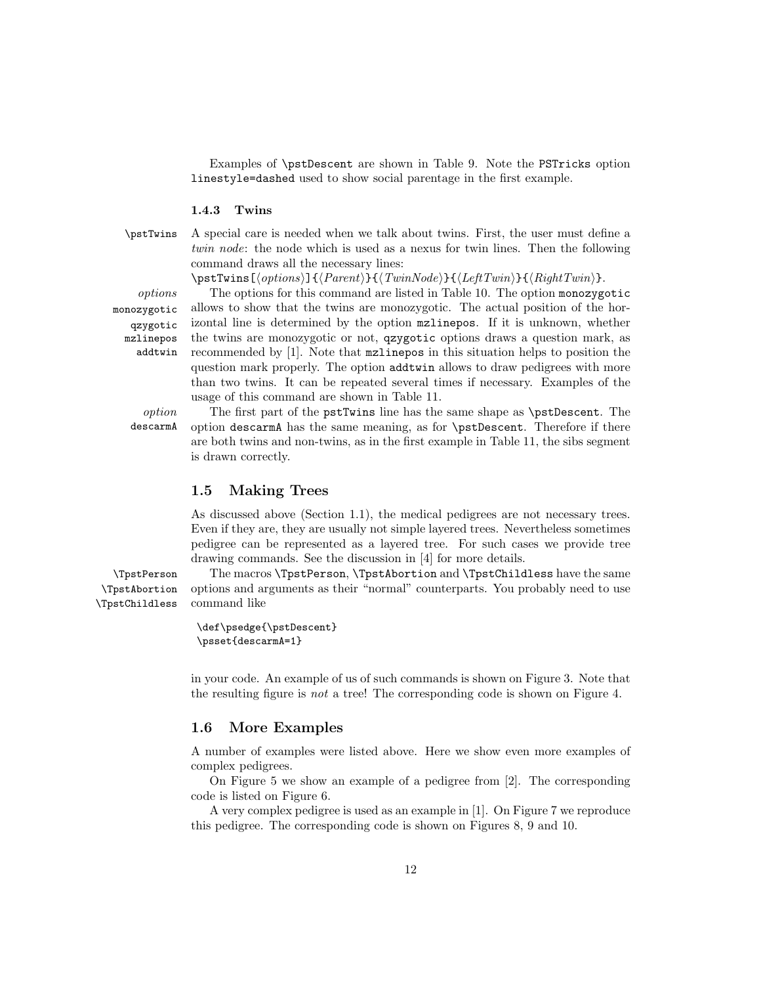Examples of \pstDescent are shown in Table 9. Note the PSTricks option linestyle=dashed used to show social parentage in the first example.

#### 1.4.3 Twins

\pstTwins A special care is needed when we talk about twins. First, the user must define a twin node: the node which is used as a nexus for twin lines. Then the following command draws all the necessary lines:

 $\mathcal{h}\left\{\langle options\right\rangle\}$ { $\langle Parent\rangle$ }{ $\langle TwinNode\rangle$ }{ $\langle LeftTwin\rangle$ }.

monozygotic qzygotic mzlinepos addtwin

options The options for this command are listed in Table 10. The option monozygotic allows to show that the twins are monozygotic. The actual position of the horizontal line is determined by the option mzlinepos. If it is unknown, whether the twins are monozygotic or not, qzygotic options draws a question mark, as recommended by [1]. Note that mzlinepos in this situation helps to position the question mark properly. The option addtwin allows to draw pedigrees with more than two twins. It can be repeated several times if necessary. Examples of the usage of this command are shown in Table 11.

option The first part of the pstTwins line has the same shape as \pstDescent. The descarmA option descarmA has the same meaning, as for \pstDescent. Therefore if there are both twins and non-twins, as in the first example in Table 11, the sibs segment is drawn correctly.

### 1.5 Making Trees

As discussed above (Section 1.1), the medical pedigrees are not necessary trees. Even if they are, they are usually not simple layered trees. Nevertheless sometimes pedigree can be represented as a layered tree. For such cases we provide tree drawing commands. See the discussion in [4] for more details.

\TpstAbortion \TpstChildless

\TpstPerson The macros \TpstPerson, \TpstAbortion and \TpstChildless have the same options and arguments as their "normal" counterparts. You probably need to use command like

```
\def\psedge{\pstDescent}
\psset{descarmA=1}
```
in your code. An example of us of such commands is shown on Figure 3. Note that the resulting figure is not a tree! The corresponding code is shown on Figure 4.

### 1.6 More Examples

A number of examples were listed above. Here we show even more examples of complex pedigrees.

On Figure 5 we show an example of a pedigree from [2]. The corresponding code is listed on Figure 6.

A very complex pedigree is used as an example in [1]. On Figure 7 we reproduce this pedigree. The corresponding code is shown on Figures 8, 9 and 10.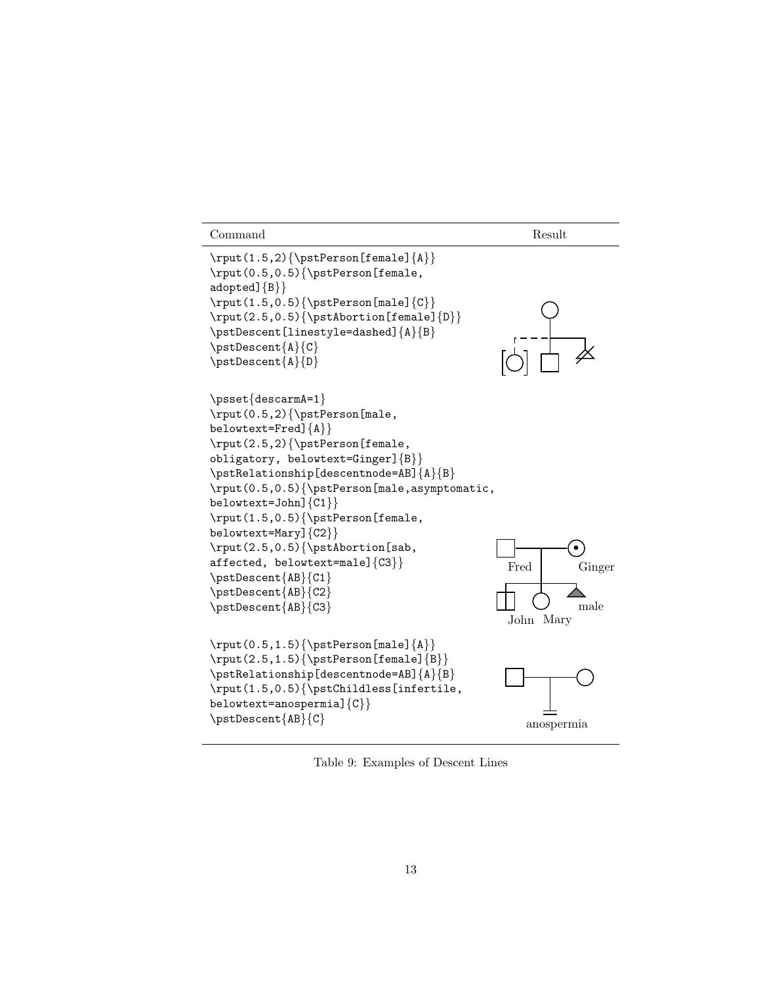```
Command Result
\rput(1.5,2){\pstPerson[female]{A}}\rput(0.5,0.5){\pstPerson[female,
adopted]{B}\rput(1.5,0.5){\pstPerson[male]}{C}\rput(2.5,0.5){\pstAbortion[female]{D}}\pstDescent[linestyle=dashed]{A}{B}
\pstDescent{A}{C}
\pstDescent{A}{D}
\psset{descarmA=1}
\rput(0.5,2){\pstPerson[male,
belowtext=Fred]{A}}
\rput(2.5,2){\pstPerson[female,
obligatory, belowtext=Ginger]{B}}
\pstRelationship[descentnode=AB]{A}{B}
\rput(0.5,0.5){\pstPerson[male,asymptomatic,
belowtext=John]{C1}}
\rput(1.5,0.5){\pstPerson[female,
belowtext=Mary]{C2}}
\rput(2.5,0.5){\pstAbortion[sab,
affected, belowtext=male]{C3}}
\pstDescent{AB}{C1}
\pstDescent{AB}{C2}
\pstDescent{AB}{C3}
                                            Fred
                                                      \bulletGinger
                                            John Mary
                                                       male
\rput(0.5,1.5){\psterals}\rput(2.5,1.5){\psetPerson[female]{B}}\pstRelationship[descentnode=AB]{A}{B}
\rput(1.5,0.5){\pstChildless[infertile,
belowtext=anospermia]{C}}
\pstDescent{AB}{C}
                                               anospermia
```
Table 9: Examples of Descent Lines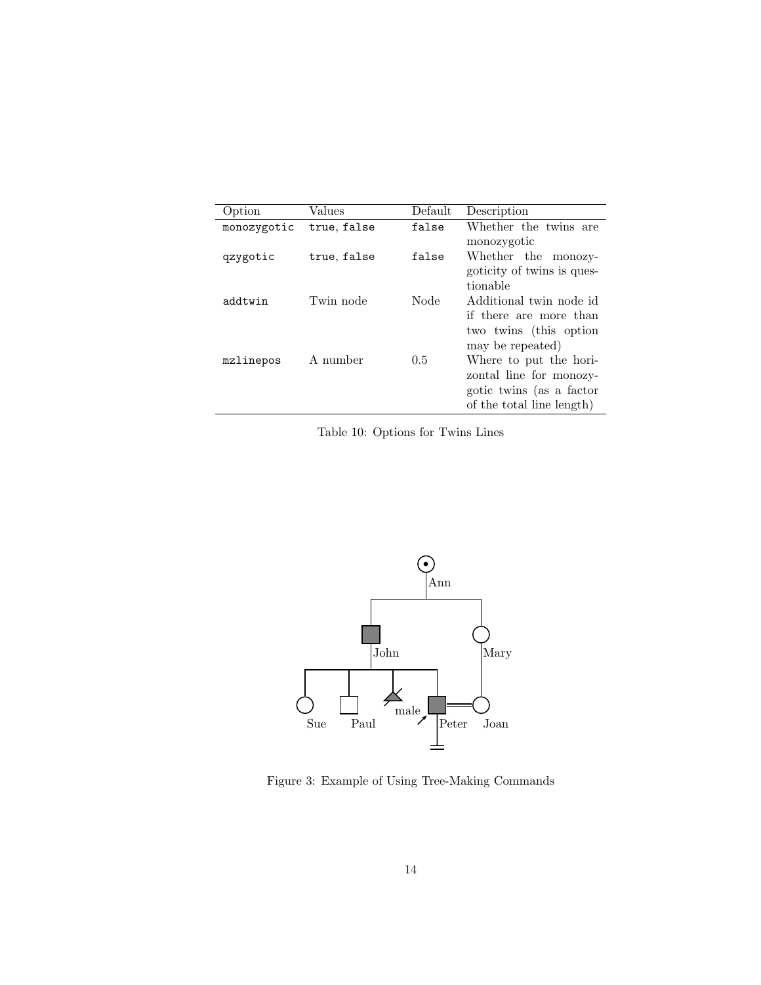| Option      | Values      | Default | Description                                       |
|-------------|-------------|---------|---------------------------------------------------|
| monozygotic | true, false | false   | Whether the twins are                             |
|             |             |         | monozygotic                                       |
| qzygotic    | true, false | false   | Whether the monozy-<br>goticity of twins is ques- |
|             |             |         | tionable                                          |
| addtwin     | Twin node   | Node    | Additional twin node id                           |
|             |             |         | if there are more than                            |
|             |             |         | two twins (this option                            |
| mzlinepos   | A number    | 0.5     | may be repeated)<br>Where to put the hori-        |
|             |             |         | zontal line for monozy-                           |
|             |             |         | gotic twins (as a factor                          |
|             |             |         | of the total line length)                         |

Table 10: Options for Twins Lines



Figure 3: Example of Using Tree-Making Commands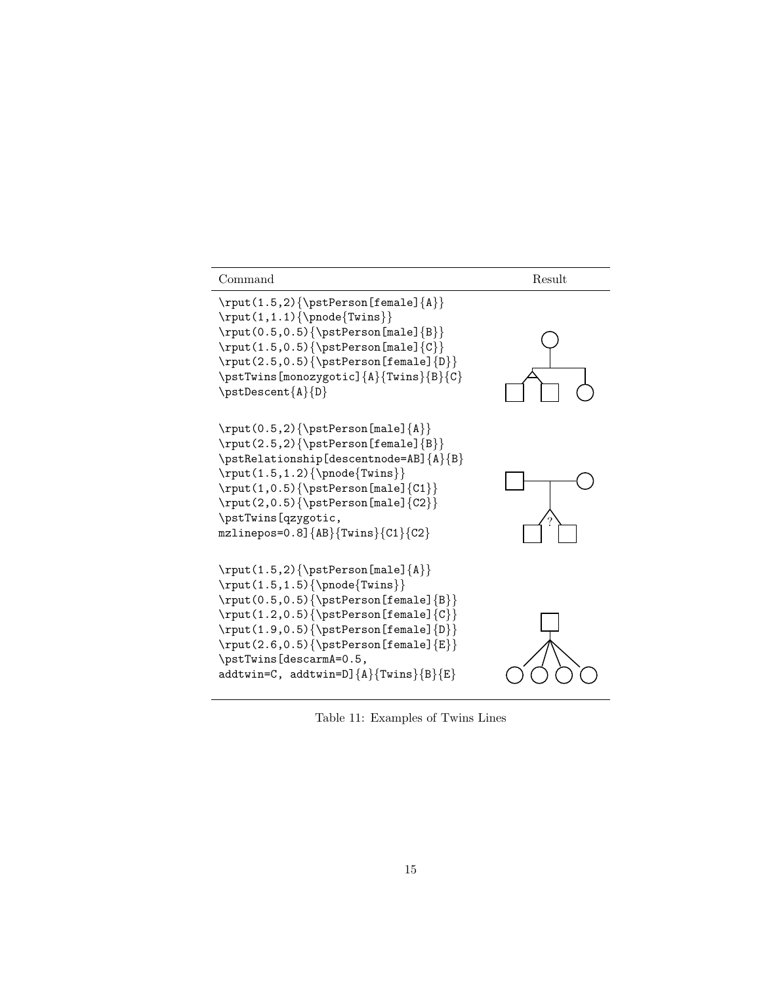

Table 11: Examples of Twins Lines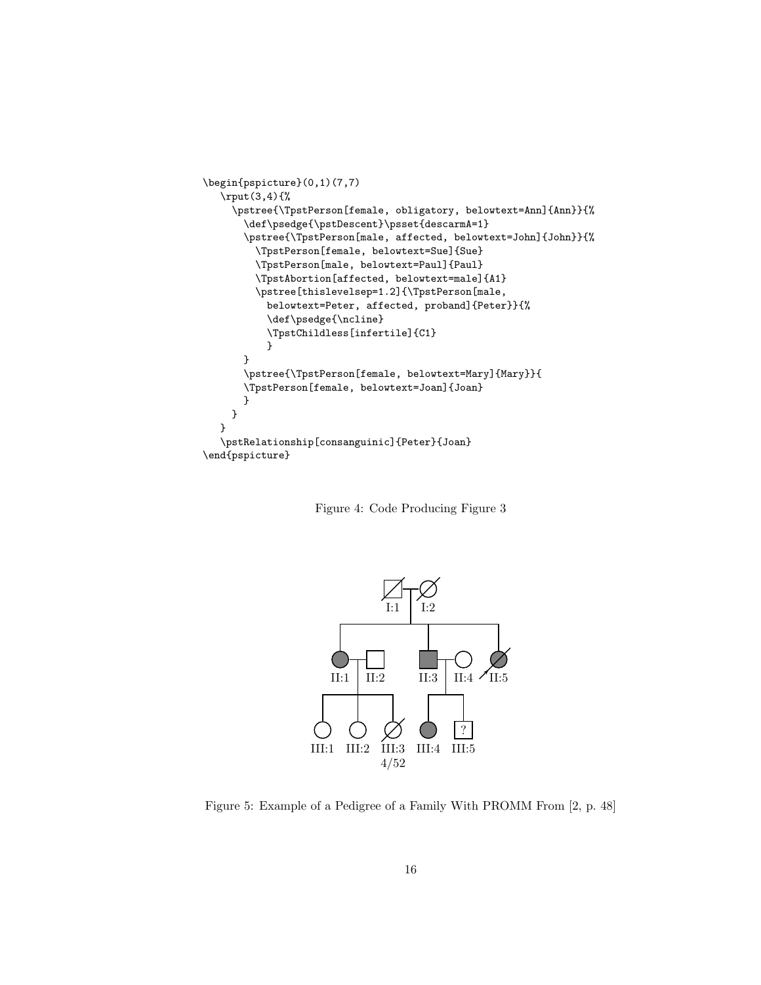```
\begin{pspicture}(0,1)(7,7)
   \rput(3,4){%
     \pstree{\TpstPerson[female, obligatory, belowtext=Ann]{Ann}}{%
       \label{thm:main} $$\def\psedge{\pstDescent}\psset{descarmA=1}$$\pstree{\TpstPerson[male, affected, belowtext=John]{John}}{%
         \TpstPerson[female, belowtext=Sue]{Sue}
         \TpstPerson[male, belowtext=Paul]{Paul}
         \TpstAbortion[affected, belowtext=male]{A1}
         \pstree[thislevelsep=1.2]{\TpstPerson[male,
           belowtext=Peter, affected, proband]{Peter}}{%
           \def\psedge{\ncline}
           \TpstChildless[infertile]{C1}
           }
       }
       \pstree{\TpstPerson[female, belowtext=Mary]{Mary}}{
       \TpstPerson[female, belowtext=Joan]{Joan}
       }
     }
  }
   \pstRelationship[consanguinic]{Peter}{Joan}
\end{pspicture}
```
Figure 4: Code Producing Figure 3



Figure 5: Example of a Pedigree of a Family With PROMM From [2, p. 48]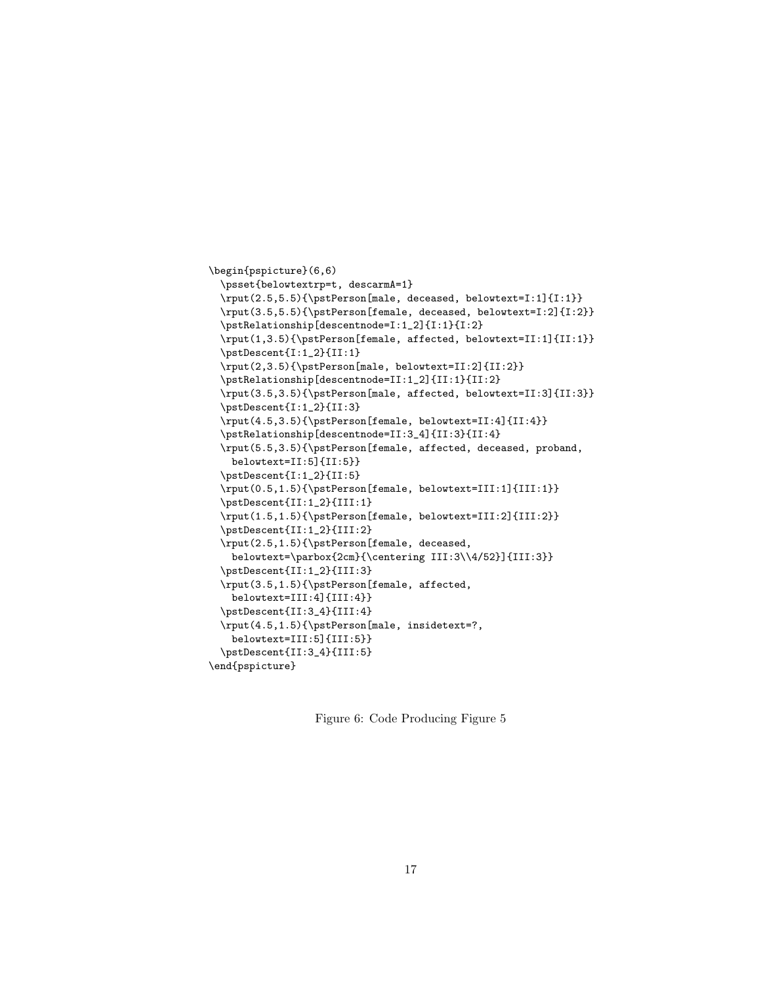```
\begin{pspicture}(6,6)
  \psset{belowtextrp=t, descarmA=1}
  \rput(2.5,5.5){\pstPerson[male, deceased, belowtext=I:1]{I:1}}
  \rput(3.5,5.5){\pstPerson[female, deceased, belowtext=I:2]{I:2}}
  \pstRelationship[descentnode=I:1_2]{I:1}{I:2}
  \rput(1,3.5){\pstPerson[female, affected, belowtext=II:1]{II:1}}
  \pstDescent{I:1_2}{II:1}
  \rput(2,3.5){\pstPerson[male, belowtext=II:2]{II:2}}
  \pstRelationship[descentnode=II:1_2]{II:1}{II:2}
  \rput(3.5,3.5){\pstPerson[male, affected, belowtext=II:3]{II:3}}
  \pstDescent{I:1_2}{II:3}
  \rput(4.5,3.5){\pstPerson[female, belowtext=II:4]{II:4}}
  \pstRelationship[descentnode=II:3_4]{II:3}{II:4}
  \rput(5.5,3.5){\pstPerson[female, affected, deceased, proband,
   belowtext=II:5]{II:5}}
  \pstDescent{I:1_2}{II:5}
  \rput(0.5,1.5){\pstPerson[female, belowtext=III:1]{III:1}}
  \pstDescent{II:1_2}{III:1}
  \rput(1.5,1.5){\pstPerson[female, belowtext=III:2]{III:2}}
  \pstDescent{II:1_2}{III:2}
  \rput(2.5,1.5){\pstPerson[female, deceased,
   belowtext=\parbox{2cm}{\centering III:3\\4/52}]{III:3}}
  \pstDescent{II:1_2}{III:3}
  \rput(3.5,1.5){\pstPerson[female, affected,
   belowtext=III:4]{III:4}}
  \pstDescent{II:3_4}{III:4}
  \rput(4.5,1.5){\pstPerson[male, insidetext=?,
   belowtext=III:5]{III:5}}
  \pstDescent{II:3_4}{III:5}
\end{pspicture}
```
Figure 6: Code Producing Figure 5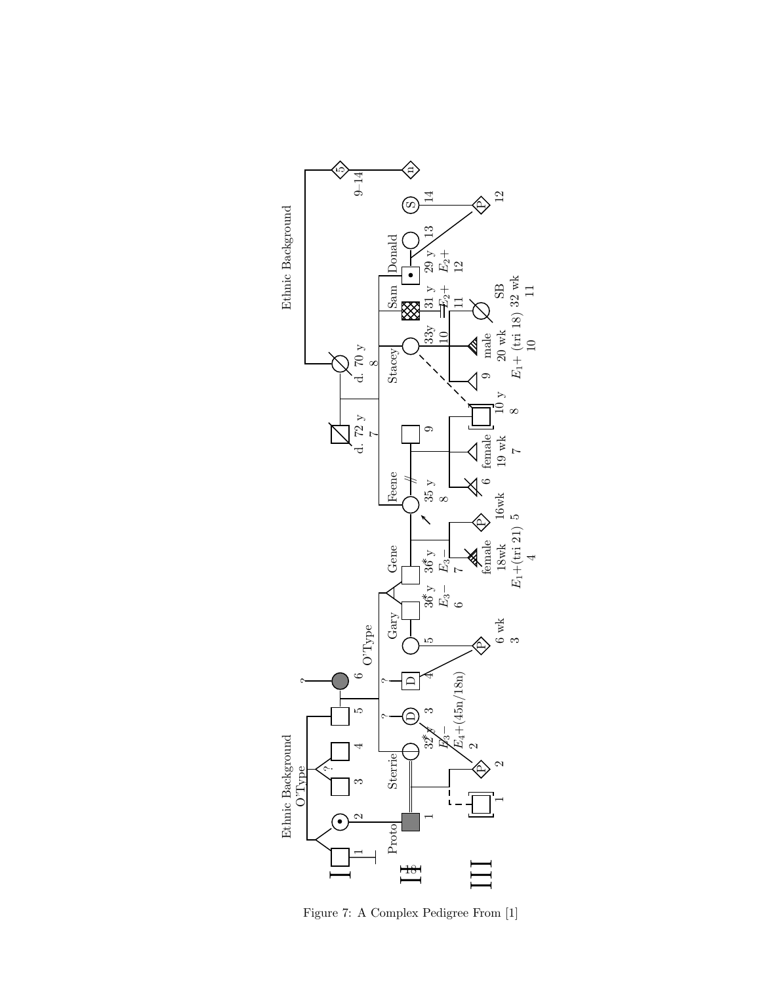

Figure 7: A Complex Pedigree From [1]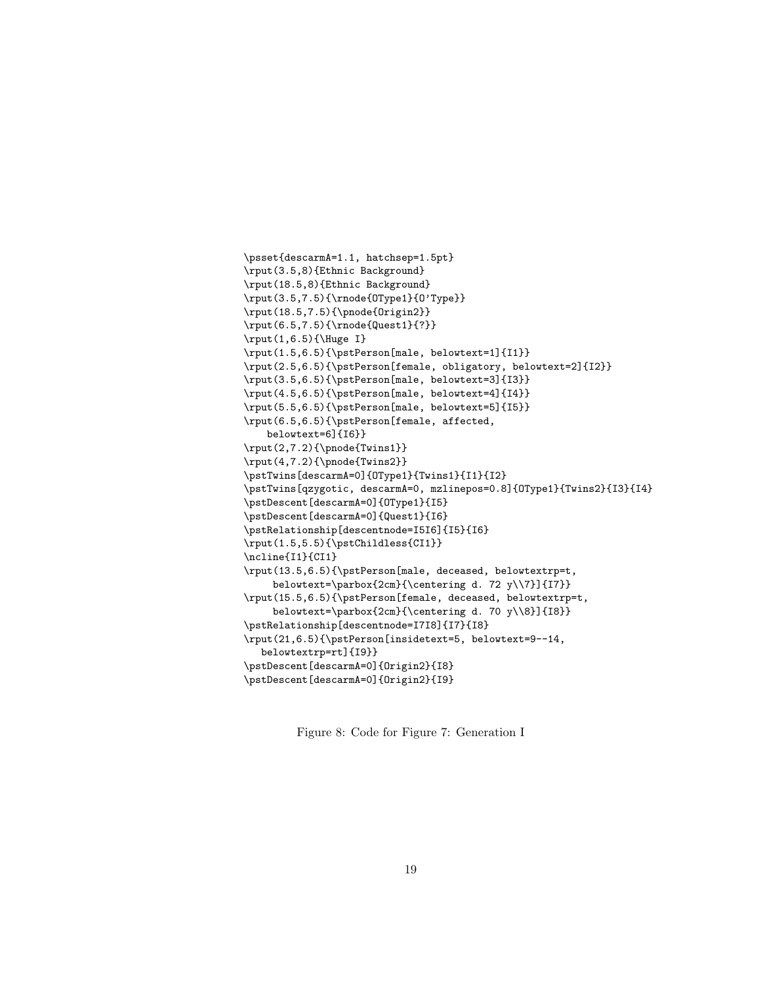```
\psset{descarmA=1.1, hatchsep=1.5pt}
\rput(3.5,8){Ethnic Background}
\rput(18.5,8){Ethnic Background}
\rput(3.5,7.5){\rnode{OType1}{O'Type}}
\rput(18.5,7.5){\pnode{Origin2}}
\rput(6.5,7.5){\rnode{Quest1}{?}}
\rput(1,6.5){\Huge I}
\rput(1.5,6.5){\pstPerson[male, belowtext=1]{I1}}
\rput(2.5,6.5){\pstPerson[female, obligatory, belowtext=2]{I2}}
\rput(3.5,6.5){\pstPerson[male, belowtext=3]{I3}}
\rput(4.5,6.5){\pstPerson[male, belowtext=4]{I4}}
\rput(5.5,6.5){\pstPerson[male, belowtext=5]{I5}}
\rput(6.5,6.5){\pstPerson[female, affected,
   belowtext=6]{I6}}
\rput(2,7.2){\pnode{Twins1}}
\rput(4,7.2){\pnode{Twins2}}
\pstTwins[descarmA=0]{OType1}{Twins1}{I1}{I2}
\pstTwins[qzygotic, descarmA=0, mzlinepos=0.8]{OType1}{Twins2}{I3}{I4}
\pstDescent[descarmA=0]{OType1}{I5}
\pstDescent[descarmA=0]{Quest1}{I6}
\pstRelationship[descentnode=I5I6]{I5}{I6}
\rput(1.5,5.5){\pstChildless{CI1}}
\ncline{I1}{CI1}
\rput(13.5,6.5){\pstPerson[male, deceased, belowtextrp=t,
    belowtext=\parbox{2cm}{\centering d. 72 y\\7}]{I7}}
\rput(15.5,6.5){\pstPerson[female, deceased, belowtextrp=t,
    belowtext=\parbox{2cm}{\centering d. 70 y\\8}]{I8}}
\pstRelationship[descentnode=I7I8]{I7}{I8}
\rput(21,6.5){\pstPerson[insidetext=5, belowtext=9--14,
  belowtextrp=rt]{I9}}
\pstDescent[descarmA=0]{Origin2}{I8}
\pstDescent[descarmA=0]{Origin2}{I9}
```
Figure 8: Code for Figure 7: Generation I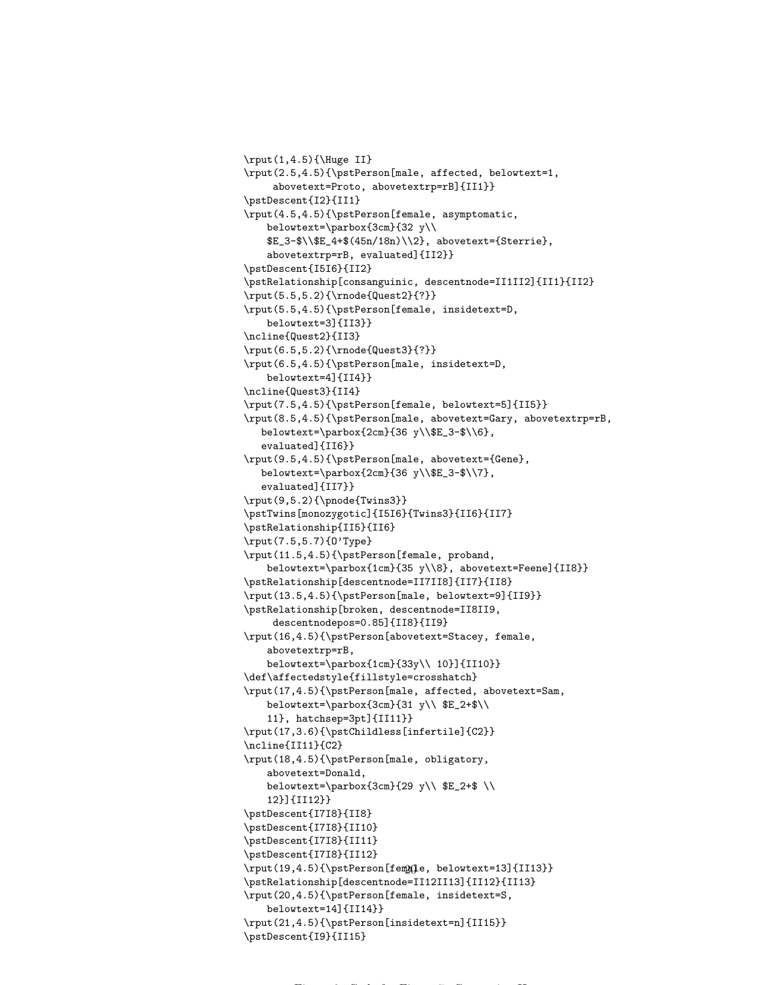```
\rput(1,4.5){\Huge{Huge II}}\rput(2.5,4.5){\pstPerson[male, affected, belowtext=1,
     abovetext=Proto, abovetextrp=rB]{II1}}
\pstDescent{I2}{II1}
\rput(4.5,4.5){\pstPerson[female, asymptomatic,
   belowtext=\parbox{3cm}{32 y\\
   $E_3-$\\$E_4+$(45n/18n)\\2}, abovetext={Sterrie},
   abovetextrp=rB, evaluated]{II2}}
\pstDescent{I5I6}{II2}
\pstRelationship[consanguinic, descentnode=II1II2]{II1}{II2}
\rput(5.5,5.2){\rnode{Quest2}{?}}
\rput(5.5,4.5){\pstPerson[female, insidetext=D,
   belowtext=3]{II3}}
\ncline{Quest2}{II3}
\rput(6.5,5.2){\rnode{Quest3}{?}}
\rput(6.5,4.5){\pstPerson[male, insidetext=D,
   belowtext=4]{II4}}
\ncline{Quest3}{II4}
\rput(7.5,4.5){\pstPerson[female, belowtext=5]{II5}}
\rput(8.5,4.5){\pstPerson[male, abovetext=Gary, abovetextrp=rB,
  belowtext=\parbox{2cm}{36 y\\$E_3-$\\6},
   evaluated]{II6}}
\rput(9.5,4.5){\pstPerson[male, abovetext={Gene},
  belowtext=\parbox{2cm}{36 y\\$E_3-$\\7},
  evaluated]{II7}}
\rput(9,5.2){\pnode{Twins3}}
\pstTwins[monozygotic]{I5I6}{Twins3}{II6}{II7}
\pstRelationship{II5}{II6}
\rput(7.5,5.7){O'Type}
\rput(11.5,4.5){\pstPerson[female, proband,
   belowtext=\parbox{1cm}{35 y\\8}, abovetext=Feene]{II8}}
\pstRelationship[descentnode=II7II8]{II7}{II8}
\rput(13.5,4.5){\pstPerson[male, belowtext=9]{II9}}
\pstRelationship[broken, descentnode=II8II9,
     descentnodepos=0.85]{II8}{II9}
\rput(16,4.5){\pstPerson[abovetext=Stacey, female,
   abovetextrp=rB,
   belowtext=\parbox{1cm}{33y\\ 10}]{II10}}
\def\affectedstyle{fillstyle=crosshatch}
\rput(17,4.5){\pstPerson[male, affected, abovetext=Sam,
   belowtext=\parbox{3cm}{31 y\\ $E_2+$\\
   11}, hatchsep=3pt]{II11}}
\rput(17,3.6){\pstChildless[infertile]{C2}}
\ncline{II11}{C2}
\rput(18,4.5){\pstPerson[male, obligatory,
   abovetext=Donald,
   belowtext=\parbox{3cm}{29 y\\ E_2+$ \\
   12}]{II12}}
\pstDescent{I7I8}{II8}
\pstDescent{I7I8}{II10}
\pstDescent{I7I8}{II11}
\pstDescent{I7I8}{II12}
\rput(19,4.5){\pstPerson[fem@q]e, belowtext=13]{II13}}
\pstRelationship[descentnode=II12II13]{II12}{II13}
\rput(20,4.5){\pstPerson[female, insidetext=S,
   belowtext=14]{II14}}
\rput(21,4.5){\pstPerson[insidetext=n]{II15}}
\pstDescent{I9}{II15}
```
Figure 9: Code for Figure 7: Generation II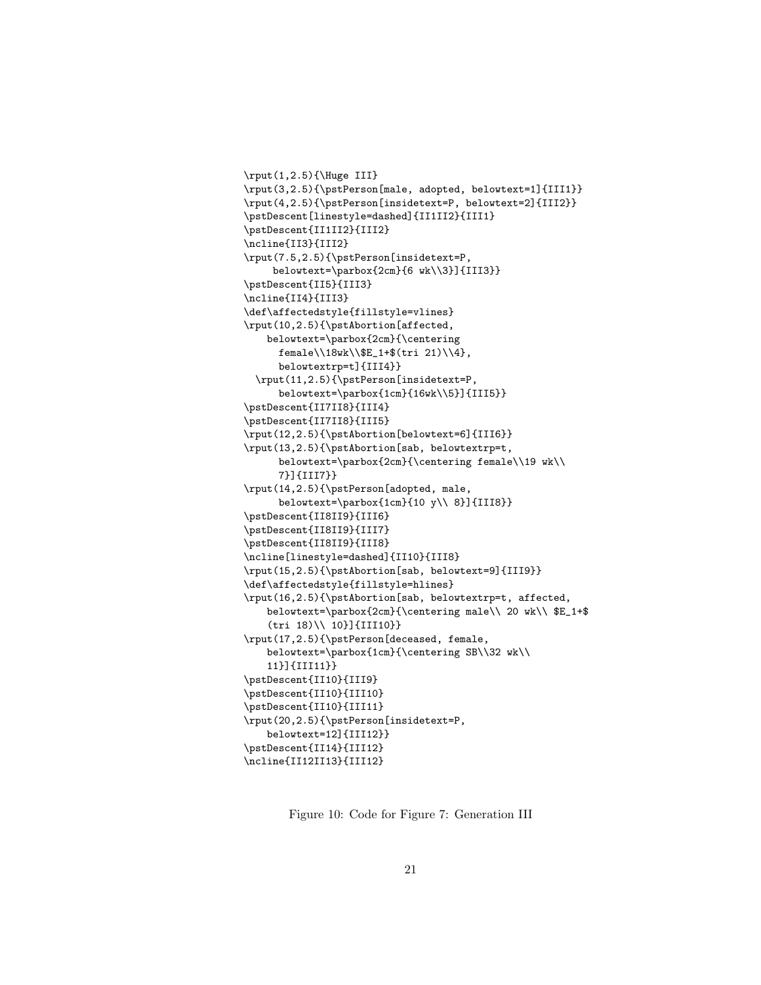```
\rput(1,2.5){\Huge III}
\rput(3,2.5){\pstPerson[male, adopted, belowtext=1]{III1}}
\rput(4,2.5){\pstPerson[insidetext=P, belowtext=2]{III2}}
\pstDescent[linestyle=dashed]{II1II2}{III1}
\pstDescent{II1II2}{III2}
\ncline{II3}{III2}
\rput(7.5,2.5){\pstPerson[insidetext=P,
    belowtext=\parbox{2cm}{6 wk\\3}]{III3}}
\pstDescent{II5}{III3}
\ncline{II4}{III3}
\def\affectedstyle{fillstyle=vlines}
\rput(10,2.5){\pstAbortion[affected,
   belowtext=\parbox{2cm}{\centering
      female\\18wk\\$E_1+$(tri 21)\\4},
      belowtextrp=t]{III4}}
 \rput(11,2.5){\pstPerson[insidetext=P,
      belowtext=\parbox{1cm}{16wk\\5}]{III5}}
\pstDescent{II7II8}{III4}
\pstDescent{II7II8}{III5}
\rput(12,2.5){\pstAbortion[belowtext=6]{III6}}
\rput(13,2.5){\pstAbortion[sab, belowtextrp=t,
      belowtext=\parbox{2cm}{\centering female\\19 wk\\
      7}]{III7}}
\rput(14,2.5){\pstPerson[adopted, male,
      belowtext=\parbox{1cm}{10 y\\ 8}]{III8}}
\pstDescent{II8II9}{III6}
\pstDescent{II8II9}{III7}
\pstDescent{II8II9}{III8}
\ncline[linestyle=dashed]{II10}{III8}
\rput(15,2.5){\pstAbortion[sab, belowtext=9]{III9}}
\def\affectedstyle{fillstyle=hlines}
\rput(16,2.5){\pstAbortion[sab, belowtextrp=t, affected,
   belowtext=\parbox{2cm}{\centering male\\ 20 wk\\ $E_1+$
    (tri 18)\\ 10}]{III10}}
\rput(17,2.5){\pstPerson[deceased, female,
   belowtext=\parbox{1cm}{\centering SB\\32 wk\\
   11}]{III11}}
\pstDescent{II10}{III9}
\pstDescent{II10}{III10}
\pstDescent{II10}{III11}
\rput(20,2.5){\pstPerson[insidetext=P,
   belowtext=12]{III12}}
\pstDescent{II14}{III12}
\ncline{II12II13}{III12}
```
Figure 10: Code for Figure 7: Generation III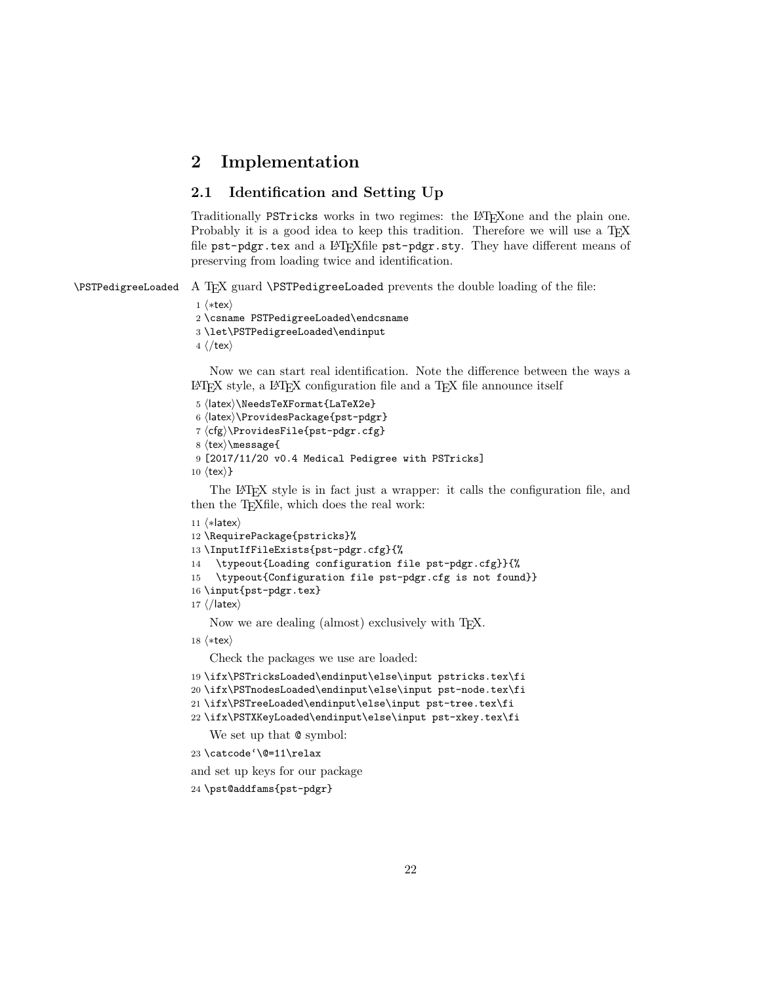# 2 Implementation

# 2.1 Identification and Setting Up

Traditionally PSTricks works in two regimes: the L<sup>AT</sup>EXone and the plain one. Probably it is a good idea to keep this tradition. Therefore we will use a T<sub>E</sub>X file pst-pdgr.tex and a LATEXfile pst-pdgr.sty. They have different means of preserving from loading twice and identification.

\PSTPedigreeLoaded A TEX guard \PSTPedigreeLoaded prevents the double loading of the file:

1  $\langle$ \*tex $\rangle$ 

2 \csname PSTPedigreeLoaded\endcsname

```
3 \let\PSTPedigreeLoaded\endinput
```
 $4 \langle$ /tex $\rangle$ 

Now we can start real identification. Note the difference between the ways a  $\Delta F$ FX style, a  $\Delta F$ FX configuration file and a TFX file announce itself

```
5 (latex)\NeedsTeXFormat{LaTeX2e}
 6 (latex)\ProvidesPackage{pst-pdgr}
 7 \langle cfg \rangleProvidesFile{pst-pdgr.cfg}
 8 \text{tex} \message{
 9 [2017/11/20 v0.4 Medical Pedigree with PSTricks]
10 \langletex\rangle}
```
The L<sup>A</sup>TEX style is in fact just a wrapper: it calls the configuration file, and then the T<sub>E</sub>Xfile, which does the real work:

```
11 \langle *|latex\rangle12 \RequirePackage{pstricks}%
13 \InputIfFileExists{pst-pdgr.cfg}{%
14 \typeout{Loading configuration file pst-pdgr.cfg}}{%
15 \typeout{Configuration file pst-pdgr.cfg is not found}}
16 \input{pst-pdgr.tex}
17 \langle/latex\rangle
```
Now we are dealing (almost) exclusively with T<sub>E</sub>X.

18  $\langle$ \*tex $\rangle$ 

Check the packages we use are loaded:

```
19 \ifx\PSTricksLoaded\endinput\else\input pstricks.tex\fi
```

```
20 \ifx\PSTnodesLoaded\endinput\else\input pst-node.tex\fi
```

```
21 \ifx\PSTreeLoaded\endinput\else\input pst-tree.tex\fi
```

```
22 \ifx\PSTXKeyLoaded\endinput\else\input pst-xkey.tex\fi
```
We set up that  $\circ$  symbol:

```
23 \catcode'\@=11\relax
```
and set up keys for our package

```
24 \pst@addfams{pst-pdgr}
```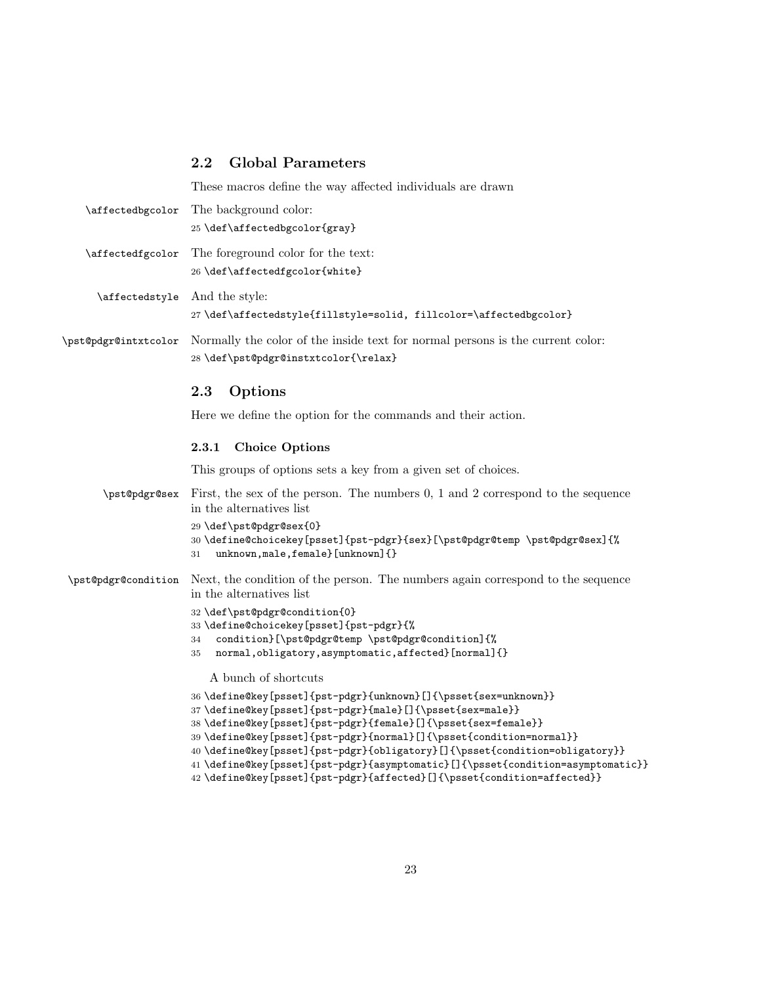### 2.2 Global Parameters

These macros define the way affected individuals are drawn \affectedbgcolor The background color: 25 \def\affectedbgcolor{gray} \affectedfgcolor The foreground color for the text: 26 \def\affectedfgcolor{white} \affectedstyle And the style: 27 \def\affectedstyle{fillstyle=solid, fillcolor=\affectedbgcolor} \pst@pdgr@intxtcolor Normally the color of the inside text for normal persons is the current color: 28 \def\pst@pdgr@instxtcolor{\relax} 2.3 Options Here we define the option for the commands and their action. 2.3.1 Choice Options This groups of options sets a key from a given set of choices. \pst@pdgr@sex First, the sex of the person. The numbers 0, 1 and 2 correspond to the sequence in the alternatives list 29 \def\pst@pdgr@sex{0} 30 \define@choicekey[psset]{pst-pdgr}{sex}[\pst@pdgr@temp \pst@pdgr@sex]{% 31 unknown,male,female}[unknown]{} \pst@pdgr@condition Next, the condition of the person. The numbers again correspond to the sequence in the alternatives list 32 \def\pst@pdgr@condition{0} 33 \define@choicekey[psset]{pst-pdgr}{% 34 condition}[\pst@pdgr@temp \pst@pdgr@condition]{% 35 normal,obligatory,asymptomatic,affected}[normal]{} A bunch of shortcuts 36 \define@key[psset]{pst-pdgr}{unknown}[]{\psset{sex=unknown}} 37 \define@key[psset]{pst-pdgr}{male}[]{\psset{sex=male}} 38 \define@key[psset]{pst-pdgr}{female}[]{\psset{sex=female}} 39 \define@key[psset]{pst-pdgr}{normal}[]{\psset{condition=normal}} 40 \define@key[psset]{pst-pdgr}{obligatory}[]{\psset{condition=obligatory}}

- 41 \define@key[psset]{pst-pdgr}{asymptomatic}[]{\psset{condition=asymptomatic}}
- 42 \define@key[psset]{pst-pdgr}{affected}[]{\psset{condition=affected}}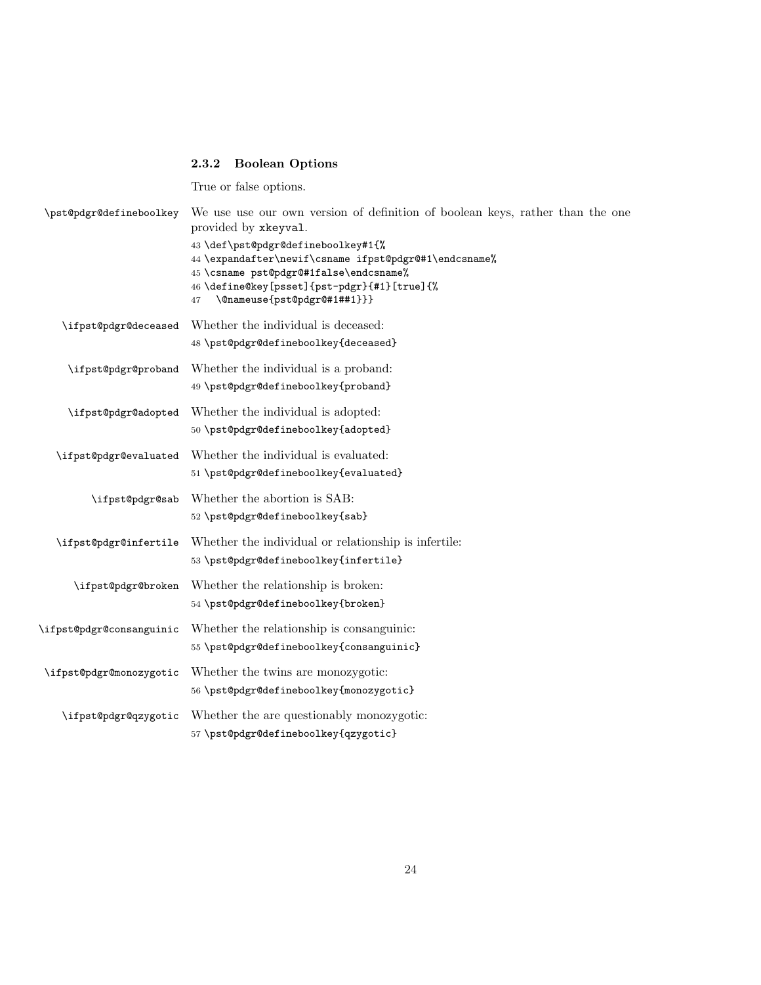# 2.3.2 Boolean Options

True or false options.

| \pst@pdgr@defineboolkey  | We use use our own version of definition of boolean keys, rather than the one<br>provided by xkeyval.                                                                                                                     |
|--------------------------|---------------------------------------------------------------------------------------------------------------------------------------------------------------------------------------------------------------------------|
|                          | 43 \def\pst@pdgr@defineboolkey#1{%<br>44 \expandafter\newif\csname ifpst@pdgr@#1\endcsname%<br>45 \csname pst@pdgr@#1false\endcsname%<br>46 \define@key[psset]{pst-pdgr}{#1}[true]{%<br>\@nameuse{pst@pdgr@#1##1}}}<br>47 |
| \ifpst@pdgr@deceased     | Whether the individual is deceased:<br>48 \pst@pdgr@defineboolkey{deceased}                                                                                                                                               |
| \ifpst@pdgr@proband      | Whether the individual is a proband:<br>49 \pst@pdgr@defineboolkey{proband}                                                                                                                                               |
| \ifpst@pdgr@adopted      | Whether the individual is adopted:<br>50 \pst@pdgr@defineboolkey{adopted}                                                                                                                                                 |
| \ifpst@pdgr@evaluated    | Whether the individual is evaluated:<br>51 \pst@pdgr@defineboolkey{evaluated}                                                                                                                                             |
| \ifpst@pdgr@sab          | Whether the abortion is SAB:<br>52 \pst@pdgr@defineboolkey{sab}                                                                                                                                                           |
| \ifpst@pdgr@infertile    | Whether the individual or relationship is infertile:<br>53 \pst@pdgr@defineboolkey{infertile}                                                                                                                             |
| \ifpst@pdgr@broken       | Whether the relationship is broken:<br>54 \pst@pdgr@defineboolkey{broken}                                                                                                                                                 |
| \ifpst@pdgr@consanguinic | Whether the relationship is consanguinic:<br>55 \pst@pdgr@defineboolkey{consanguinic}                                                                                                                                     |
| \ifpst@pdgr@monozygotic  | Whether the twins are monozygotic:<br>56 \pst@pdgr@defineboolkey{monozygotic}                                                                                                                                             |
| \ifpst@pdgr@qzygotic     | Whether the are questionably monozygotic:<br>57 \pst@pdgr@defineboolkey{qzygotic}                                                                                                                                         |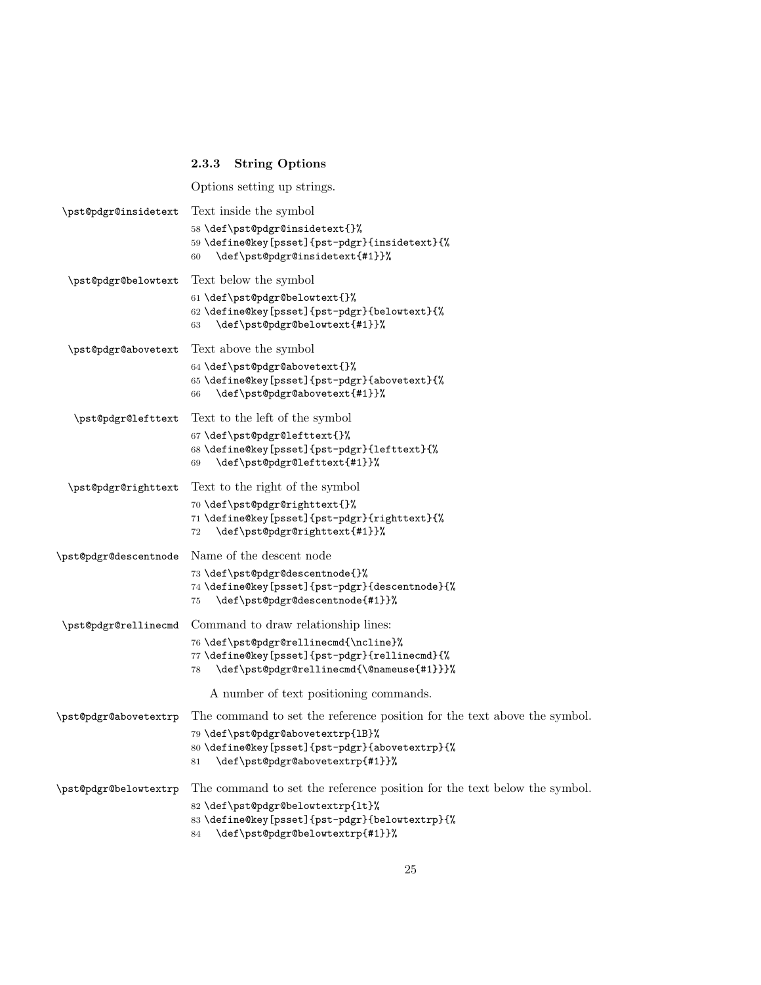# 2.3.3 String Options

Options setting up strings.

| \pst@pdgr@insidetext  | Text inside the symbol                                                                                                                                                                                   |
|-----------------------|----------------------------------------------------------------------------------------------------------------------------------------------------------------------------------------------------------|
|                       | 58\def\pst@pdgr@insidetext{}%<br>59 \define@key[psset]{pst-pdgr}{insidetext}{%<br>\def\pst@pdgr@insidetext{#1}}%<br>60                                                                                   |
| \pst@pdgr@belowtext   | Text below the symbol                                                                                                                                                                                    |
|                       | 61 \def\pst@pdgr@belowtext{}%<br>62 \define@key[psset]{pst-pdgr}{belowtext}{%<br>\def\pst@pdgr@belowtext{#1}}%<br>63                                                                                     |
| \pst@pdgr@abovetext   | Text above the symbol                                                                                                                                                                                    |
|                       | 64 \def\pst@pdgr@abovetext{}%<br>65 \define@key[psset]{pst-pdgr}{abovetext}{%<br>\def\pst@pdgr@abovetext{#1}}%<br>66                                                                                     |
| \pst@pdgr@lefttext    | Text to the left of the symbol                                                                                                                                                                           |
|                       | 67\def\pst@pdgr@lefttext{}%<br>68 \define@key[psset]{pst-pdgr}{lefttext}{%<br>\def\pst@pdgr@lefttext{#1}}%<br>69                                                                                         |
| \pst@pdgr@righttext   | Text to the right of the symbol                                                                                                                                                                          |
|                       | 70 \def\pst@pdgr@righttext{}%<br>71 \define@key[psset]{pst-pdgr}{righttext}{%<br>\def\pst@pdgr@righttext{#1}}%<br>72                                                                                     |
| \pst@pdgr@descentnode | Name of the descent node                                                                                                                                                                                 |
|                       | 73 \def\pst@pdgr@descentnode{}%<br>74 \define@key[psset]{pst-pdgr}{descentnode}{%<br>\def\pst@pdgr@descentnode{#1}}%<br>75                                                                               |
| \pst@pdgr@rellinecmd  | Command to draw relationship lines:                                                                                                                                                                      |
|                       | 76 \def\pst@pdgr@rellinecmd{\ncline}%<br>77 \define@key[psset]{pst-pdgr}{rellinecmd}{%<br>\def\pst@pdgr@rellinecmd{\@nameuse{#1}}}%<br>78                                                                |
|                       | A number of text positioning commands.                                                                                                                                                                   |
| \pst@pdgr@abovetextrp | The command to set the reference position for the text above the symbol.                                                                                                                                 |
|                       | 79 \def\pst@pdgr@abovetextrp{1B}%<br>80 \define@key[psset]{pst-pdgr}{abovetextrp}{%<br>\def\pst@pdgr@abovetextrp{#1}}%<br>81                                                                             |
| \pst@pdgr@belowtextrp | The command to set the reference position for the text below the symbol.<br>82 \def\pst@pdgr@belowtextrp{lt}%<br>83 \define@key[psset]{pst-pdgr}{belowtextrp}{%<br>\def\pst@pdgr@belowtextrp{#1}}%<br>84 |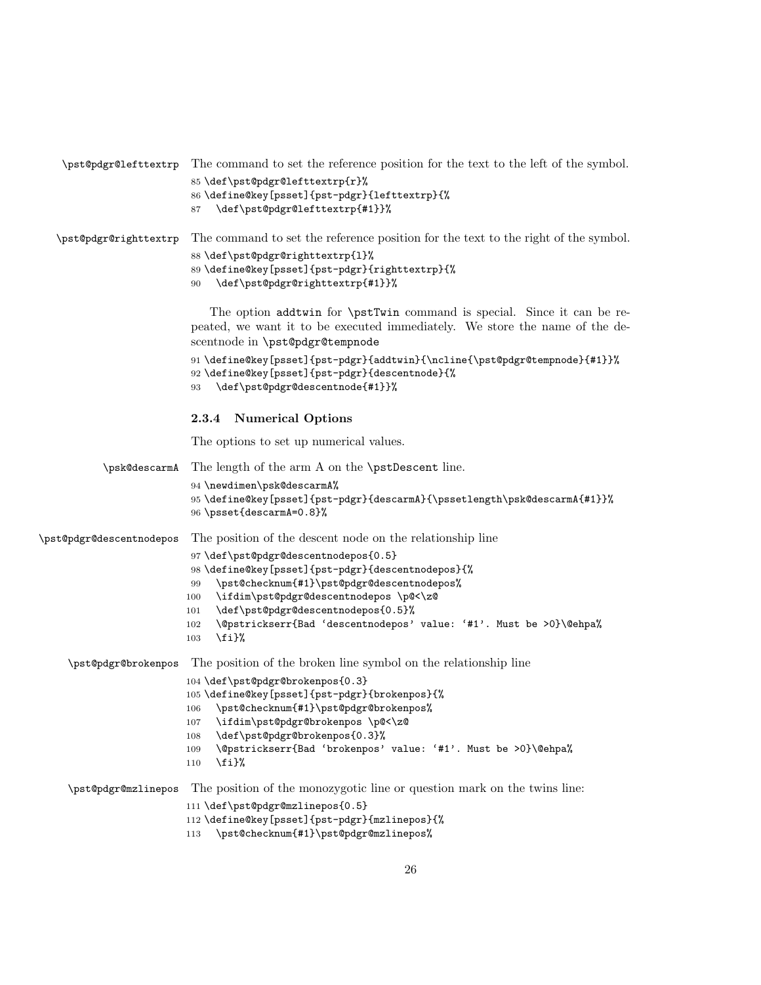| \pst@pdgr@lefttextrp     | The command to set the reference position for the text to the left of the symbol.                                                                                                                                                                                                                                                             |
|--------------------------|-----------------------------------------------------------------------------------------------------------------------------------------------------------------------------------------------------------------------------------------------------------------------------------------------------------------------------------------------|
|                          | 85 \def\pst@pdgr@lefttextrp{r}%<br>86 \define@key[psset]{pst-pdgr}{lefttextrp}{%<br>\def\pst@pdgr@lefttextrp{#1}}%<br>87                                                                                                                                                                                                                      |
| \pst@pdgr@righttextrp    | The command to set the reference position for the text to the right of the symbol.                                                                                                                                                                                                                                                            |
|                          | 88\def\pst@pdgr@righttextrp{1}%<br>89 \define@key[psset]{pst-pdgr}{righttextrp}{%<br>\def\pst@pdgr@righttextrp{#1}}%<br>90                                                                                                                                                                                                                    |
|                          | The option addtwin for \pstTwin command is special. Since it can be re-<br>peated, we want it to be executed immediately. We store the name of the de-<br>scentnode in \pst@pdgr@tempnode                                                                                                                                                     |
|                          | 91 \define@key[psset]{pst-pdgr}{addtwin}{\ncline{\pst@pdgr@tempnode}{#1}}%<br>92 \define@key[psset]{pst-pdgr}{descentnode}{%<br>\def\pst@pdgr@descentnode{#1}}%<br>93                                                                                                                                                                         |
|                          | 2.3.4<br><b>Numerical Options</b>                                                                                                                                                                                                                                                                                                             |
|                          | The options to set up numerical values.                                                                                                                                                                                                                                                                                                       |
| \psk@descarmA            | The length of the arm A on the \pstDescent line.                                                                                                                                                                                                                                                                                              |
|                          | 94 \newdimen\psk@descarmA%<br>95 \define@key[psset]{pst-pdgr}{descarmA}{\pssetlength\psk@descarmA{#1}}%<br>96 \psset{descarmA=0.8}%                                                                                                                                                                                                           |
| \pst@pdgr@descentnodepos | The position of the descent node on the relationship line                                                                                                                                                                                                                                                                                     |
|                          | 97\def\pst@pdgr@descentnodepos{0.5}<br>98 \define@key[psset]{pst-pdgr}{descentnodepos}{%<br>\pst@checknum{#1}\pst@pdgr@descentnodepos%<br>99<br>\ifdim\pst@pdgr@descentnodepos \p@<\z@<br>100<br>\def\pst@pdgr@descentnodepos{0.5}%<br>101<br>\@pstrickserr{Bad 'descentnodepos' value: '#1'. Must be >0}\@ehpa%<br>102<br>$\iota$ i}%<br>103 |
| \pst@pdgr@brokenpos      | The position of the broken line symbol on the relationship line                                                                                                                                                                                                                                                                               |
|                          | 104 \def\pst@pdgr@brokenpos{0.3}<br>105 \define@key[psset]{pst-pdgr}{brokenpos}{%<br>\pst@checknum{#1}\pst@pdgr@brokenpos%<br>106<br>\ifdim\pst@pdgr@brokenpos \p@<\z@<br>107<br>\def\pst@pdgr@brokenpos{0.3}%<br>108<br>\@pstrickserr{Bad 'brokenpos' value: '#1'. Must be >0}\@ehpa%<br>109<br>$\{f_i\}$<br>110                             |
| \pst@pdgr@mzlinepos      | The position of the monozygotic line or question mark on the twins line:                                                                                                                                                                                                                                                                      |
|                          | 111 \def\pst@pdgr@mzlinepos{0.5}<br>112 \define@key[psset]{pst-pdgr}{mzlinepos}{%<br>\pst@checknum{#1}\pst@pdgr@mzlinepos%<br>113                                                                                                                                                                                                             |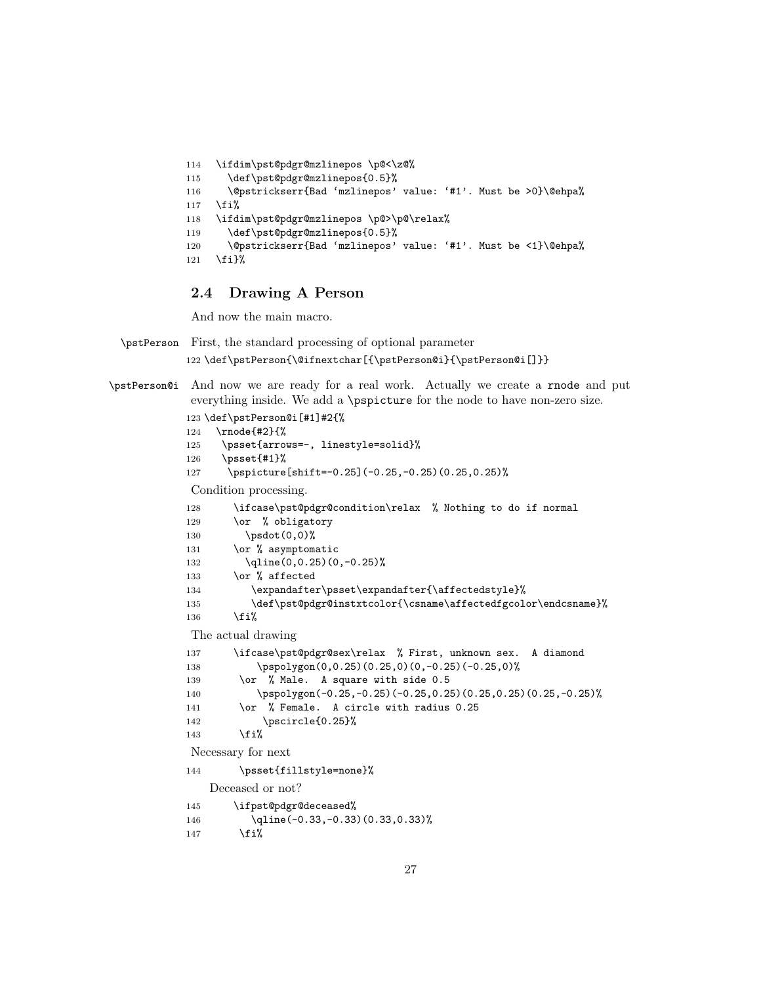```
114 \ifdim\pst@pdgr@mzlinepos \p@<\z@%
115 \def\pst@pdgr@mzlinepos{0.5}%
116 \@pstrickserr{Bad 'mzlinepos' value: '#1'. Must be >0}\@ehpa%
117 \fi%
118 \ifdim\pst@pdgr@mzlinepos \p@>\p@\relax%
119 \def\pst@pdgr@mzlinepos{0.5}%
120 \@pstrickserr{Bad 'mzlinepos' value: '#1'. Must be <1}\@ehpa%
121 \fi}%
```
## 2.4 Drawing A Person

And now the main macro.

\pstPerson First, the standard processing of optional parameter 122 \def\pstPerson{\@ifnextchar[{\pstPerson@i}{\pstPerson@i[]}}

\pstPerson@i And now we are ready for a real work. Actually we create a rnode and put everything inside. We add a \pspicture for the node to have non-zero size.

```
123 \def\pstPerson@i[#1]#2{%
124 \rnode{#2}{%
125 \psset{arrows=-, linestyle=solid}%
126 \psset{#1}%
127 \pspicture[shift=-0.25](-0.25,-0.25)(0.25,0.25)%
Condition processing.
128 \ifcase\pst@pdgr@condition\relax % Nothing to do if normal
129 \or % obligatory
130 \psdot(0,0)%
131 \or % asymptomatic
132 \qline(0,0.25)(0,-0.25)%
133 \or % affected
134 \expandafter\psset\expandafter{\affectedstyle}%
135 \def\pst@pdgr@instxtcolor{\csname\affectedfgcolor\endcsname}%
136 \overline{\text{f}i}The actual drawing
137 \ifcase\pst@pdgr@sex\relax % First, unknown sex. A diamond
138 \pspolygon(0,0.25)(0.25,0)(0,-0.25)(-0.25,0)%
139 \or % Male. A square with side 0.5
140 \pspolygon(-0.25,-0.25)(-0.25,0.25)(0.25,0.25)(0.25,-0.25)%
141 \or % Female. A circle with radius 0.25
142 \pscircle{0.25}%
143 \overrightarrow{143}Necessary for next
144 \psset{fillstyle=none}%
   Deceased or not?
145 \ifpst@pdgr@deceased%
146 \qline(-0.33,-0.33)(0.33,0.33)%
147 \fi%
```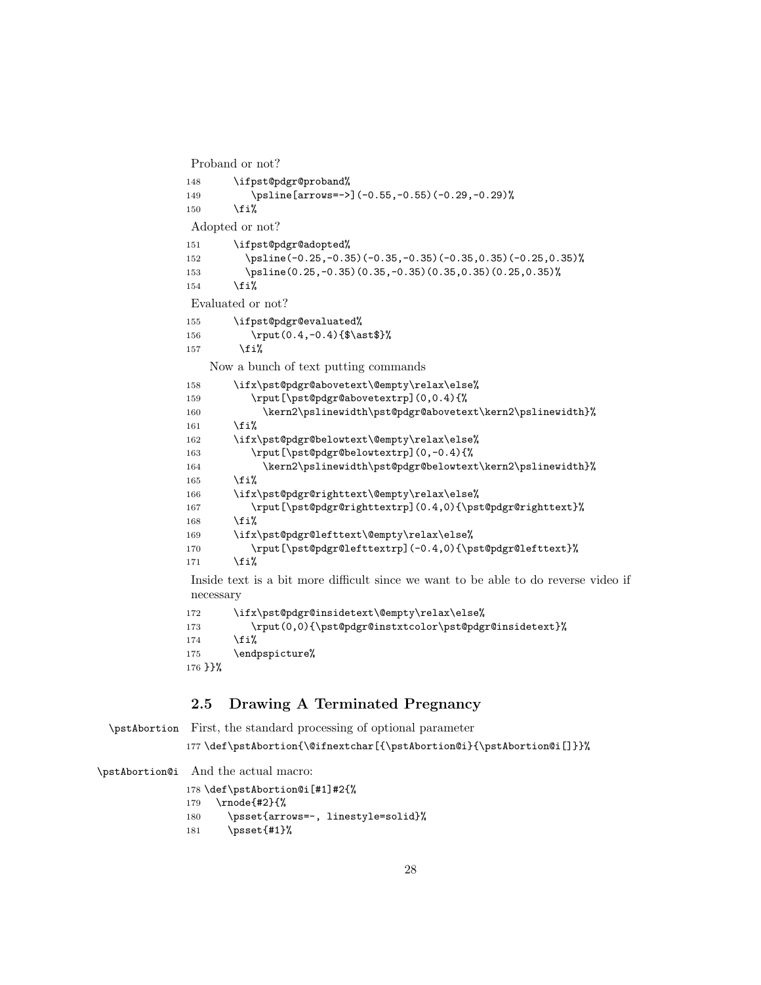Proband or not?

```
148 \ifpst@pdgr@proband%
149 \psline[arrows=->](-0.55,-0.55)(-0.29,-0.29)%
150 \fi%
Adopted or not?
151 \ifpst@pdgr@adopted%
152 \psline(-0.25,-0.35)(-0.35,-0.35)(-0.35,0.35)(-0.25,0.35)%
153 \psline(0.25,-0.35)(0.35,-0.35)(0.35,0.35)(0.25,0.35)%
154 \fi%
Evaluated or not?
155 \ifpst@pdgr@evaluated%
156 \rput(0.4,-0.4){$\ast$}%
157 \{f_i\}Now a bunch of text putting commands
158 \ifx\pst@pdgr@abovetext\@empty\relax\else%
159 \rput[\pst@pdgr@abovetextrp](0,0.4){%
160 \kern2\pslinewidth\pst@pdgr@abovetext\kern2\pslinewidth}%
161 \fi%
162 \ifx\pst@pdgr@belowtext\@empty\relax\else%
163 \rput[\pst@pdgr@belowtextrp](0,-0.4){%
164 \kern2\pslinewidth\pst@pdgr@belowtext\kern2\pslinewidth}%
165 \fi%
166 \ifx\pst@pdgr@righttext\@empty\relax\else%
167 \rput[\pst@pdgr@righttextrp](0.4,0){\pst@pdgr@righttext}%
168 \fi%
169 \ifx\pst@pdgr@lefttext\@empty\relax\else%
170 \rput[\pst@pdgr@lefttextrp](-0.4,0){\pst@pdgr@lefttext}%
171 \fi%
```
Inside text is a bit more difficult since we want to be able to do reverse video if necessary

```
172 \ifx\pst@pdgr@insidetext\@empty\relax\else%
173 \rput(0,0){\pst@pdgr@instxtcolor\pst@pdgr@insidetext}%
174 \fi%
175 \endpspicture%
176 }}%
```
# 2.5 Drawing A Terminated Pregnancy

```
\pstAbortion First, the standard processing of optional parameter
             177 \def\pstAbortion{\@ifnextchar[{\pstAbortion@i}{\pstAbortion@i[]}}%
```
\pstAbortion@i And the actual macro:

```
178 \def\pstAbortion@i[#1]#2{%
179 \rnode{#2}{%
180 \psset{arrows=-, linestyle=solid}%
181 \psset{#1}%
```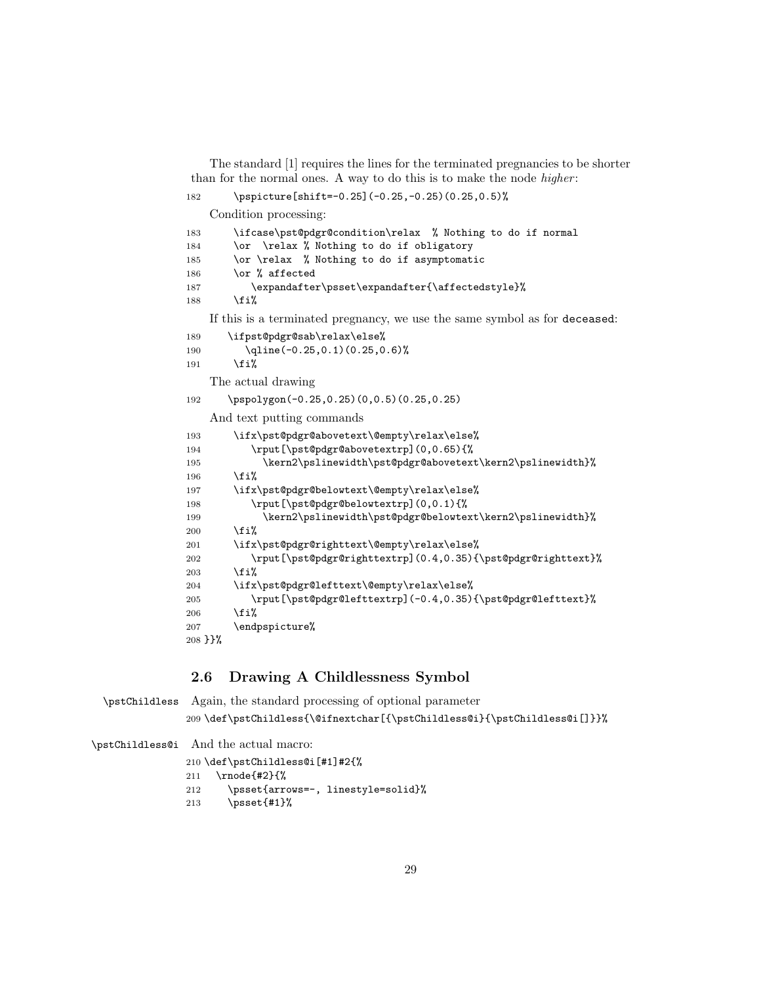The standard [1] requires the lines for the terminated pregnancies to be shorter than for the normal ones. A way to do this is to make the node *higher*:

```
182 \pspicture[shift=-0.25](-0.25,-0.25)(0.25,0.5)%
```
Condition processing:

| 183        | \ifcase\pst@pdgr@condition\relax % Nothing to do if normal                 |
|------------|----------------------------------------------------------------------------|
| 184        | \or \relax % Nothing to do if obligatory                                   |
| 185        | \or \relax % Nothing to do if asymptomatic                                 |
| 186        | \or % affected                                                             |
| 187        | \expandafter\psset\expandafter{\affectedstyle}%                            |
| 188        | \fi%                                                                       |
|            | If this is a terminated pregnancy, we use the same symbol as for deceased: |
| 189        | \ifpst@pdgr@sab\relax\else%                                                |
| 190        | $\qquad( -0.25, 0.1) (0.25, 0.6)$                                          |
| 191        | \fi%                                                                       |
|            | The actual drawing                                                         |
| 192        | $\pspolygon(-0.25, 0.25)(0.0.5)(0.25, 0.25)$                               |
|            | And text putting commands                                                  |
| 193        | \ifx\pst@pdgr@abovetext\@empty\relax\else%                                 |
| 194        | \rput[\pst@pdgr@abovetextrp](0,0.65){%                                     |
| 195        | \kern2\pslinewidth\pst@pdgr@abovetext\kern2\pslinewidth}%                  |
| 196        | \fi%                                                                       |
| 197        | \ifx\pst@pdgr@belowtext\@empty\relax\else%                                 |
| 198        | \rput[\pst@pdgr@belowtextrp](0,0.1){%                                      |
| 199        | \kern2\pslinewidth\pst@pdgr@belowtext\kern2\pslinewidth}%                  |
| 200        | \fi%                                                                       |
| 201        | \ifx\pst@pdgr@righttext\@empty\relax\else%                                 |
| 202        | \rput[\pst@pdgr@righttextrp](0.4,0.35){\pst@pdgr@righttext}%               |
| 203        | \fi%                                                                       |
| 204        | \ifx\pst@pdgr@lefttext\@empty\relax\else%                                  |
| 205        | \rput[\pst@pdgr@lefttextrp](-0.4,0.35){\pst@pdgr@lefttext}%                |
| 206        | \fi%                                                                       |
| 207        | \endpspicture%                                                             |
| $208$ } }% |                                                                            |

# 2.6 Drawing A Childlessness Symbol

\pstChildless Again, the standard processing of optional parameter \def\pstChildless{\@ifnextchar[{\pstChildless@i}{\pstChildless@i[]}}% \pstChildless@i And the actual macro: \def\pstChildless@i[#1]#2{%

 \rnode{#2}{% \psset{arrows=-, linestyle=solid}% \psset{#1}%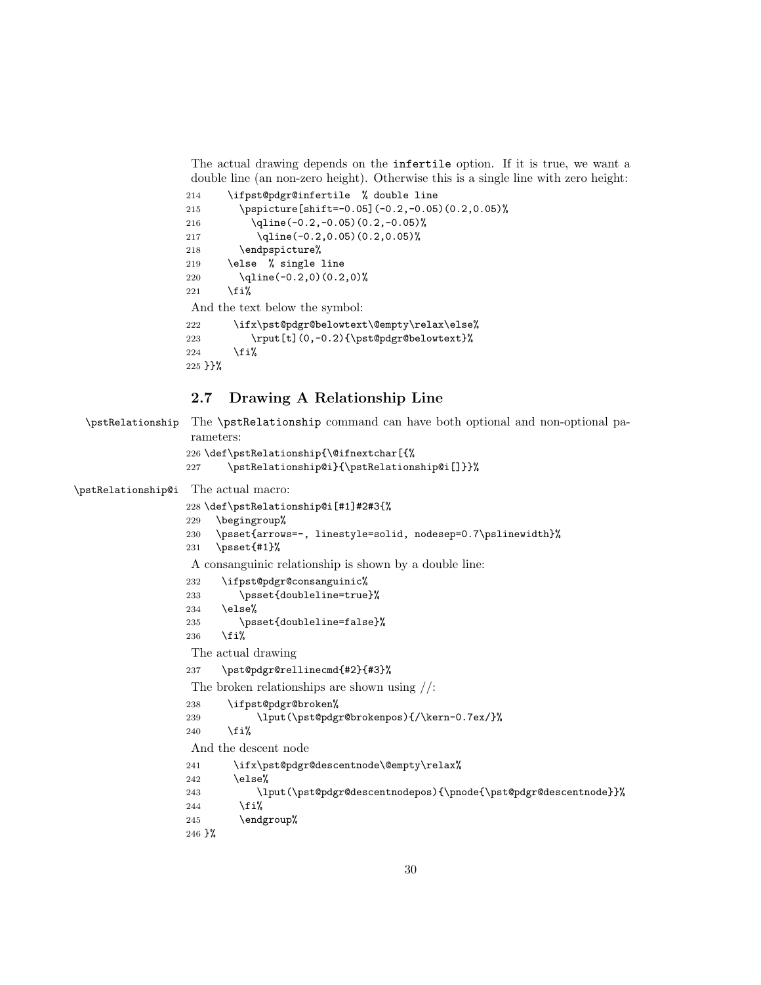The actual drawing depends on the infertile option. If it is true, we want a double line (an non-zero height). Otherwise this is a single line with zero height:

```
214 \ifpst@pdgr@infertile % double line
215 \pspicture[shift=-0.05](-0.2,-0.05)(0.2,0.05)%
216 \qline(-0.2,-0.05)(0.2,-0.05)%
217 \qline(-0.2,0.05)(0.2,0.05)%
218 \endpspicture%
219 \else % single line
220 \qline(-0.2,0)(0.2,0)%
221 \text{Y}And the text below the symbol:
222 \ifx\pst@pdgr@belowtext\@empty\relax\else%
223 \rput[t](0,-0.2){\pst@pdgr@belowtext}%
224 \text{Li}%
225 }}% \hspace{0.05cm}
```
## 2.7 Drawing A Relationship Line

```
\pstRelationship The \pstRelationship command can have both optional and non-optional pa-
                   rameters:
                  226 \def\pstRelationship{\@ifnextchar[{%
                  227 \pstRelationship@i}{\pstRelationship@i[]}}%
\pstRelationship@i The actual macro:
                  228 \def\pstRelationship@i[#1]#2#3{%
                  229 \begingroup%
                  230 \psset{arrows=-, linestyle=solid, nodesep=0.7\pslinewidth}%
                  231 \psset{#1}%
                   A consanguinic relationship is shown by a double line:
                  232 \ifpst@pdgr@consanguinic%
                  233 \psset{doubleline=true}%
                  234 \else%
                  235 \psset{doubleline=false}%
                  236 \overline{\text{if}'}The actual drawing
                  237 \pst@pdgr@rellinecmd{#2}{#3}%
                   The broken relationships are shown using //:
                  238 \ifpst@pdgr@broken%
                  239 \lput(\pst@pdgr@brokenpos){/\kern-0.7ex/}%
                  240 \overrightarrow{f}iAnd the descent node
                  241 \ifx\pst@pdgr@descentnode\@empty\relax%
                  242 \else%
                  243 \lput(\pst@pdgr@descentnodepos){\pnode{\pst@pdgr@descentnode}}%
                  244 \overrightarrow{1}245 \endgroup%
                  246 }%
```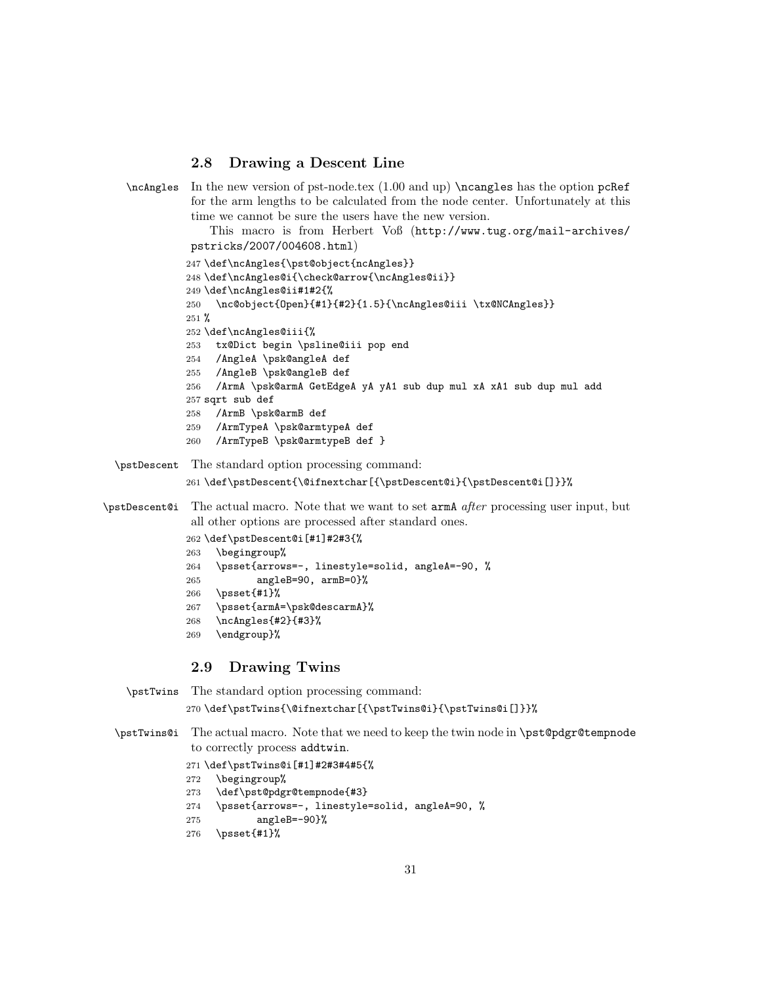## 2.8 Drawing a Descent Line

 $\mathcal{L}$  In the new version of pst-node.tex (1.00 and up)  $\n$ cangles has the option pcRef for the arm lengths to be calculated from the node center. Unfortunately at this time we cannot be sure the users have the new version.

> This macro is from Herbert Voß (http://www.tug.org/mail-archives/ pstricks/2007/004608.html)

```
247 \def\ncAngles{\pst@object{ncAngles}}
248 \def\ncAngles@i{\check@arrow{\ncAngles@ii}}
249 \def\ncAngles@ii#1#2{%
250 \nc@object{Open}{#1}{#2}{1.5}{\ncAngles@iii \tx@NCAngles}}
251 \frac{9}{2}252 \def\ncAngles@iii{%
253 tx@Dict begin \psline@iii pop end
254 /AngleA \psk@angleA def
255 /AngleB \psk@angleB def
256 /ArmA \psk@armA GetEdgeA yA yA1 sub dup mul xA xA1 sub dup mul add
257 sqrt sub def
258 /ArmB \psk@armB def
259 /ArmTypeA \psk@armtypeA def
260 /ArmTypeB \psk@armtypeB def }
```
\pstDescent The standard option processing command:

261\def\pstDescent{\@ifnextchar[{\pstDescent@i}{\pstDescent@i[]}}%

## \pstDescent@i The actual macro. Note that we want to set armA after processing user input, but all other options are processed after standard ones.

```
262 \def\pstDescent@i[#1]#2#3{%
263 \begingroup%
264 \psset{arrows=-, linestyle=solid, angleA=-90, %
265 angleB=90, armB=0}%
266 \psset{#1}%
267 \psset{armA=\psk@descarmA}%
268 \ncAngles{#2}{#3}%
269 \endgroup}%
```
## 2.9 Drawing Twins

\pstTwins The standard option processing command: \def\pstTwins{\@ifnextchar[{\pstTwins@i}{\pstTwins@i[]}}%

- \pstTwins@i The actual macro. Note that we need to keep the twin node in \pst@pdgr@tempnode to correctly process addtwin.
	- \def\pstTwins@i[#1]#2#3#4#5{%
	- \begingroup%
	- \def\pst@pdgr@tempnode{#3}
	- \psset{arrows=-, linestyle=solid, angleA=90, %
	- angleB=-90}%
	- \psset{#1}%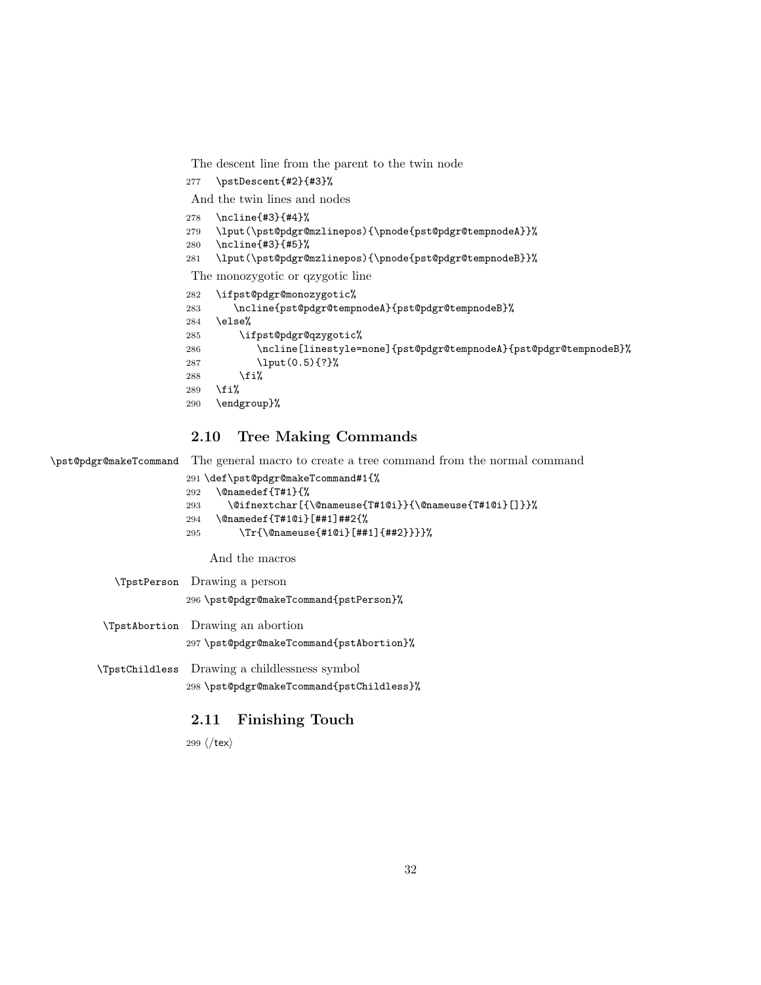The descent line from the parent to the twin node

\pstDescent{#2}{#3}%

And the twin lines and nodes

- \ncline{#3}{#4}%
- \lput(\pst@pdgr@mzlinepos){\pnode{pst@pdgr@tempnodeA}}%
- \ncline{#3}{#5}%
- \lput(\pst@pdgr@mzlinepos){\pnode{pst@pdgr@tempnodeB}}%

The monozygotic or qzygotic line

```
282 \ifpst@pdgr@monozygotic%
283 \ncline{pst@pdgr@tempnodeA}{pst@pdgr@tempnodeB}%
284 \else%
285 \ifpst@pdgr@qzygotic%
286 \ncline[linestyle=none]{pst@pdgr@tempnodeA}{pst@pdgr@tempnodeB}%
287 \lput(0.5){?}%
288 \overrightarrow{1}289 \fi%
290 \endgroup}%
```
# 2.10 Tree Making Commands

\pst@pdgr@makeTcommand The general macro to create a tree command from the normal command

```
291 \def\pst@pdgr@makeTcommand#1{%
292 \@namedef{T#1}{%
293 \@ifnextchar[{\@nameuse{T#1@i}}{\@nameuse{T#1@i}[]}}%
294 \@namedef{T#1@i}[##1]##2{%
295 \Tr{\@nameuse{#1@i}[##1]{##2}}}}%
```
And the macros

```
\TpstPerson Drawing a person
               296 \pst@pdgr@makeTcommand{pstPerson}%
\TpstAbortion Drawing an abortion
               297 \pst@pdgr@makeTcommand{pstAbortion}%
\TpstChildless Drawing a childlessness symbol
```
\pst@pdgr@makeTcommand{pstChildless}%

## 2.11 Finishing Touch

299  $\langle$ /tex $\rangle$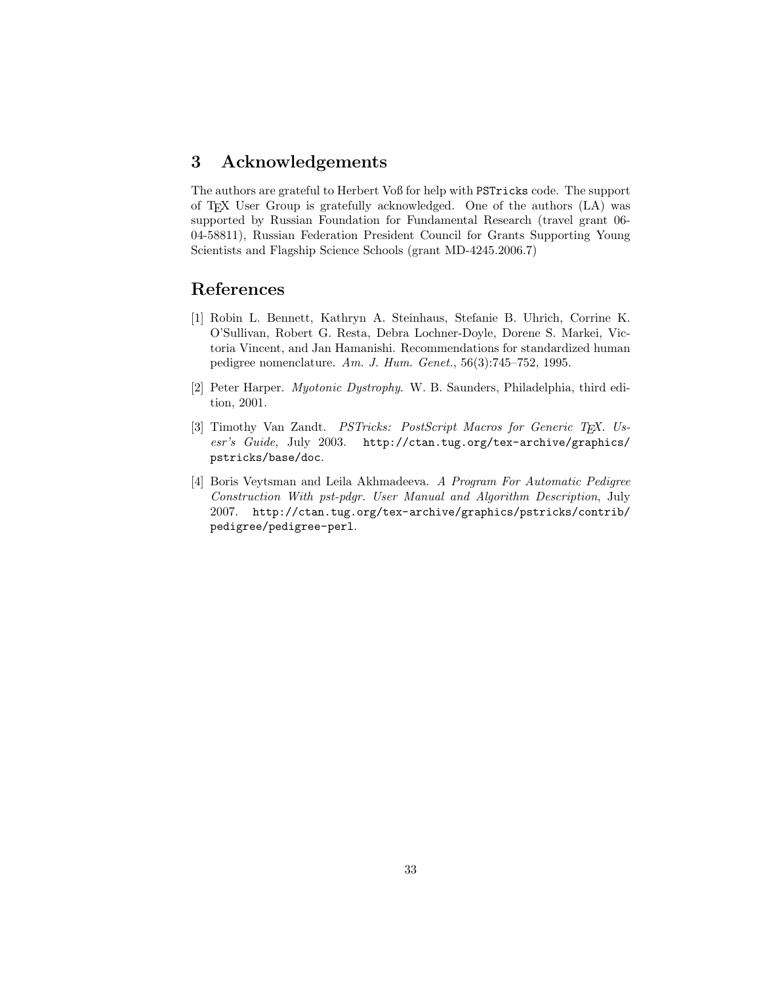# 3 Acknowledgements

The authors are grateful to Herbert Voß for help with PSTricks code. The support of TEX User Group is gratefully acknowledged. One of the authors (LA) was supported by Russian Foundation for Fundamental Research (travel grant 06- 04-58811), Russian Federation President Council for Grants Supporting Young Scientists and Flagship Science Schools (grant MD-4245.2006.7)

# References

- [1] Robin L. Bennett, Kathryn A. Steinhaus, Stefanie B. Uhrich, Corrine K. O'Sullivan, Robert G. Resta, Debra Lochner-Doyle, Dorene S. Markei, Victoria Vincent, and Jan Hamanishi. Recommendations for standardized human pedigree nomenclature. Am. J. Hum. Genet., 56(3):745–752, 1995.
- [2] Peter Harper. Myotonic Dystrophy. W. B. Saunders, Philadelphia, third edition, 2001.
- [3] Timothy Van Zandt. *PSTricks: PostScript Macros for Generic T<sub>E</sub>X. Us*esr's Guide, July 2003. http://ctan.tug.org/tex-archive/graphics/ pstricks/base/doc.
- [4] Boris Veytsman and Leila Akhmadeeva. A Program For Automatic Pedigree Construction With pst-pdgr. User Manual and Algorithm Description, July 2007. http://ctan.tug.org/tex-archive/graphics/pstricks/contrib/ pedigree/pedigree-perl.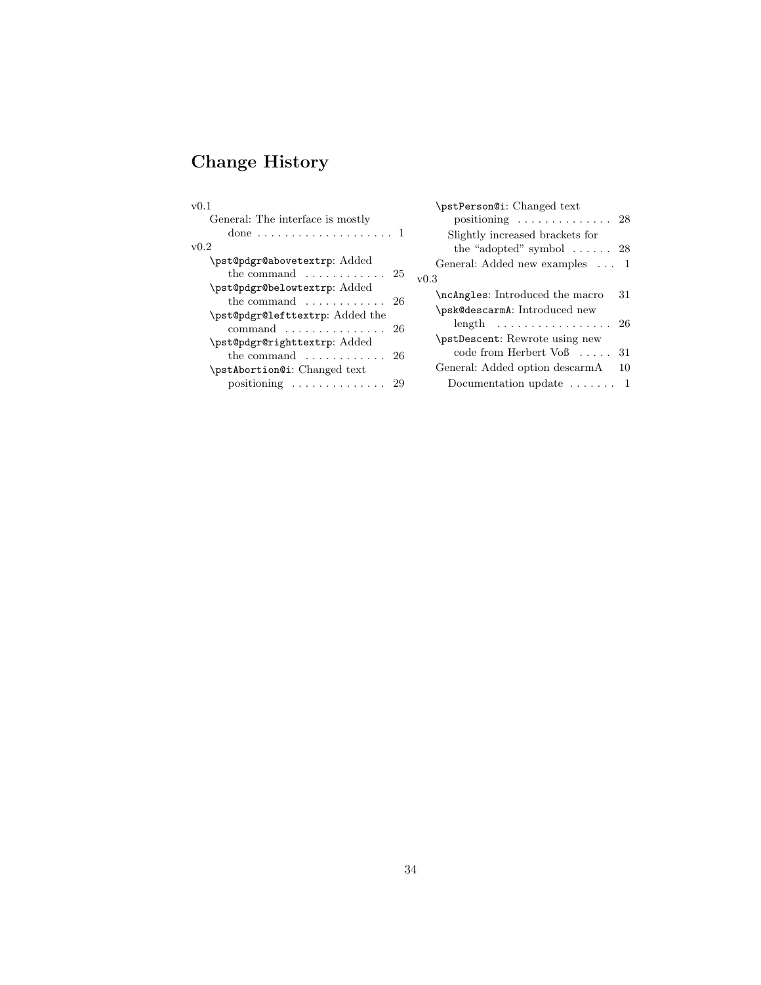# Change History

| v(0.1)                                                                       | \pstPerson@i: Changed text                                              |
|------------------------------------------------------------------------------|-------------------------------------------------------------------------|
| General: The interface is mostly                                             | positioning $\ldots \ldots \ldots \ldots 28$                            |
|                                                                              | Slightly increased brackets for                                         |
| v0.2                                                                         | the "adopted" symbol $\ldots \ldots$ 28                                 |
| \pst@pdgr@abovetextrp: Added                                                 | General: Added new examples  1                                          |
| the command $\dots \dots \dots \dots 25$                                     | v0.3                                                                    |
| \pst@pdgr@belowtextrp: Added<br>the command $\ldots \ldots \ldots \ldots 26$ | \ncAngles: Introduced the macro<br>-31<br>\psk@descarmA: Introduced new |
| \pst@pdgr@lefttextrp: Added the                                              | length $26$                                                             |
| command $\ldots \ldots \ldots \ldots \ldots 26$                              | \pstDescent: Rewrote using new                                          |
| \pst@pdgr@righttextrp: Added                                                 | code from Herbert $V \circ \beta$ 31                                    |
| the command $\ldots \ldots \ldots \ldots 26$                                 | General: Added option descarmA                                          |
| \pstAbortion@i: Changed text\                                                | 10                                                                      |
| positioning  29                                                              | Documentation update $\dots \dots 1$                                    |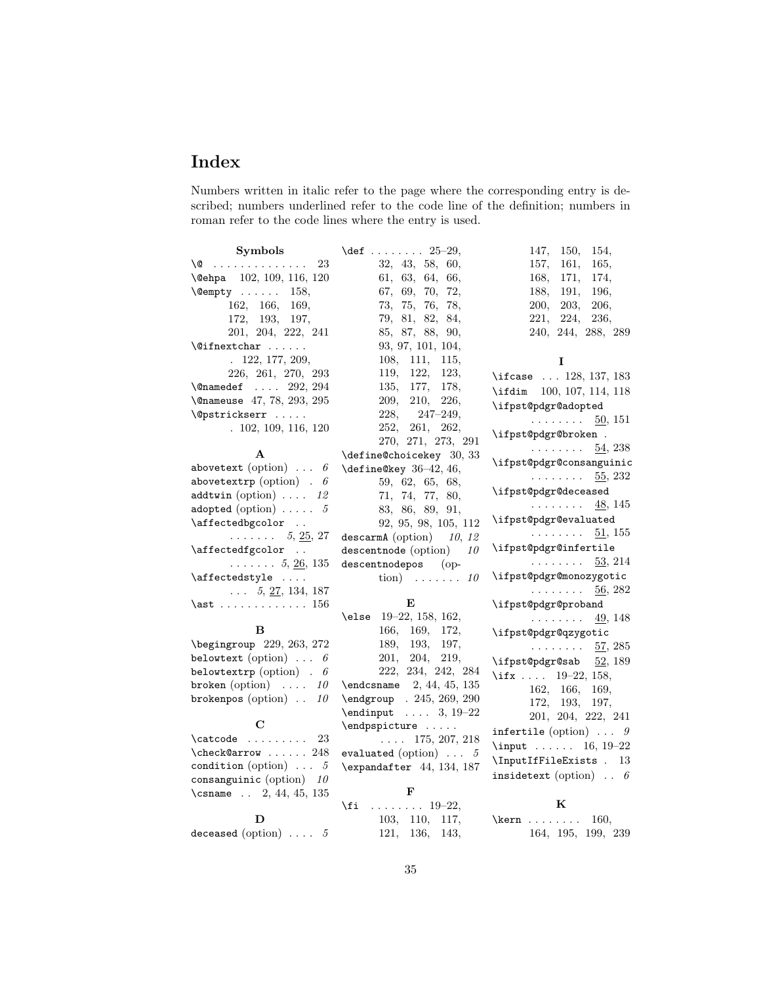# Index

Numbers written in italic refer to the page where the corresponding entry is described; numbers underlined refer to the code line of the definition; numbers in roman refer to the code lines where the entry is used.

| <b>Symbols</b>                           | \def 25-29,                          | 147,<br>150,<br>154,                      |
|------------------------------------------|--------------------------------------|-------------------------------------------|
| \@<br>23                                 | 32, 43, 58, 60,                      | 161,<br>165,<br>157,                      |
| \@ehpa 102, 109, 116, 120                | 61, 63, 64, 66,                      | 168,<br>171,<br>174,                      |
| $\text{Qempty} \dots 158,$               | 67, 69, 70, 72,                      | 188,<br>191,<br>196,                      |
| 162, 166, 169,                           | 73, 75, 76, 78,                      | 203,<br><b>200,</b><br>206,               |
| 172, 193, 197,                           | $79,\ 81,\ 82,\ 84,$                 | 221,<br>224,<br>236,                      |
| 201, 204, 222, 241                       | 85, 87, 88, 90,                      | 240, 244, 288, 289                        |
| $\sqrt{q}$ ifnextchar                    | 93, 97, 101, 104,                    |                                           |
| . 122, 177, 209,                         | 108, 111,<br>115,                    | 1                                         |
| 226, 261, 270, 293                       | 119, 122,<br>123,                    |                                           |
| $\{\texttt{Onamedef } \ldots 292, 294\}$ | 135, 177, 178,                       | \ifcase  128, 137, 183                    |
| \@nameuse 47, 78, 293, 295               | 209,<br>210,<br>226,                 | \ifdim 100, 107, 114, 118                 |
|                                          | 228,<br>247–249,                     | \ifpst@pdgr@adopted                       |
| $\Diamond$ gpstrickserr                  |                                      | $\ldots \ldots \quad \underline{50}, 151$ |
| . 102, 109, 116, 120                     | 252,<br>261,<br>262,                 | \ifpst@pdgr@broken.                       |
|                                          | 270, 271, 273, 291                   | 54, 238<br>.                              |
| A                                        | \define@choicekey 30, 33             | \ifpst@pdgr@consanguinic                  |
| abovetext (option) $\ldots$ 6            | \define@key 36-42, 46,               | $\cdots \cdots \cdots$ 55, 232            |
| abovetextrp (option) . $\theta$          | 59, 62, 65, 68,                      | \ifpst@pdgr@deceased                      |
| addtwin (option) $\ldots$ 12             | 71, 74, 77, 80,                      | . 48, 145                                 |
| adopted (option) $\ldots \ldots 5$       | 83, 86, 89, 91,                      | \ifpst@pdgr@evaluated                     |
| \affectedbgcolor                         | 92, 95, 98, 105, 112                 |                                           |
| $\ldots \ldots 5, 25, 27$                | descarmA (option) $10, 12$           | $\ldots \ldots \quad 51,155$              |
| \affectedfgcolor                         | descentnode (option)<br>10           | \ifpst@pdgr@infertile                     |
| $\ldots \ldots 5, \underline{26}, 135$   | descentnodepos (op-                  | $\ldots \ldots \ldots$ 53, 214            |
| \affectedstyle                           | tion) $\ldots \ldots 10$             | \ifpst@pdgr@monozygotic                   |
| $\ldots$ 5, 27, 134, 187                 |                                      | .<br>56, 282                              |
| $\lambda$ st  156                        | Е                                    | \ifpst@pdgr@proband                       |
|                                          | $\text{else}$ 19-22, 158, 162,       | .<br>49, 148                              |
| в                                        | 166, 169, 172,                       | \ifpst@pdgr@qzygotic                      |
| \begingroup 229, 263, 272                | 189, 193, 197,                       | $\ldots \ldots 57, 285$                   |
| belowtext (option) $\ldots$ 6            | 201,<br>204,<br>219,                 | \ifpst@pdgr@sab 52, 189                   |
| belowtextrp (option) $. 6$               | 222, 234, 242, 284                   | \ifx 19-22, 158,                          |
| broken (option) $\ldots$ 10              | $\end{t}$ (endcsname 2, 44, 45, 135) | 162, 166,<br>169,                         |
| brokenpos (option) $\ldots$ 10           | \endgroup . 245, 269, 290            | 172, 193, 197,                            |
|                                          | $\end{input}$ 3, 19-22               | 201, 204, 222, 241                        |
| C                                        | $\end{pspicture} \dots$              | infertile (option) $\ldots$ 9             |
| $\texttt{\char'01}$                      | $\ldots$ 175, 207, 218               |                                           |
| $\text{check@arrow} \dots$ 248           | evaluated (option) $\ldots$ 5        | \input $16, 19-22$                        |
| condition (option) $\ldots$ 5            | \expandafter 44, 134, 187            | \InputIfFileExists . 13                   |
| consanguinic (option) $10$               |                                      | insidetext (option) $\ldots$ 6            |
| \csname $\ldots$ 2, 44, 45, 135          | F                                    |                                           |
|                                          | $\ldots \ldots \ldots 19-22,$<br>\fi | K                                         |
| D                                        | 103, 110, 117,                       | $\ker n$<br>160,                          |
| deceased (option) $\ldots$ 5             | 121, 136,<br>143,                    | 164, 195, 199, 239                        |
|                                          |                                      |                                           |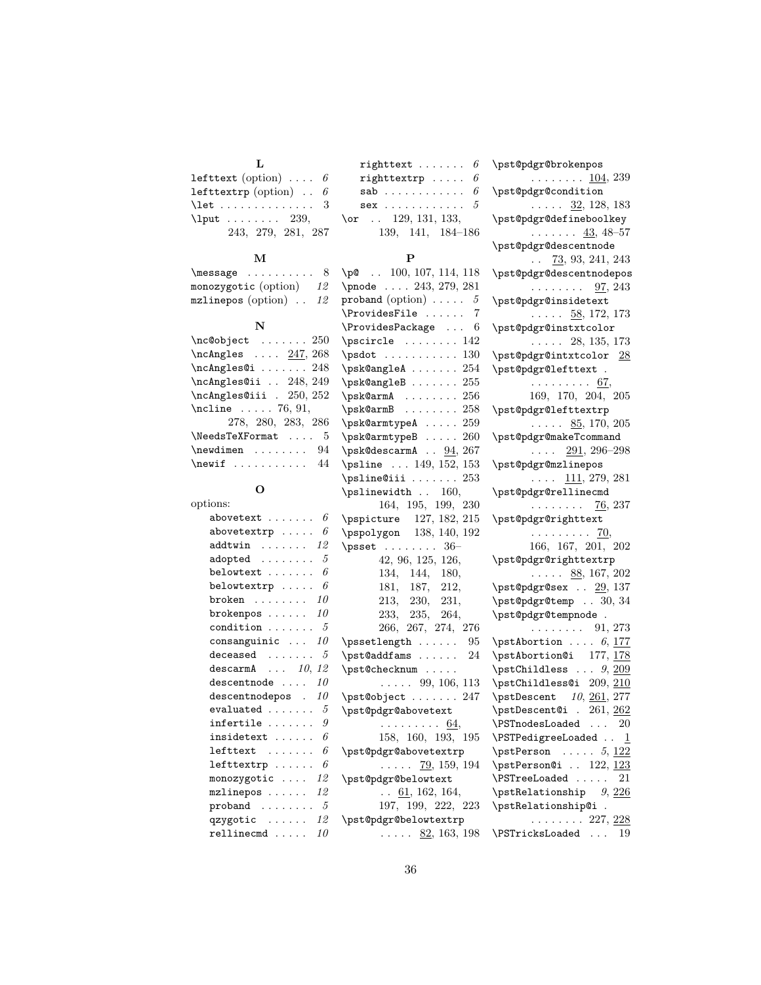| lefttext (option) $\ldots$ 6                                    |    |
|-----------------------------------------------------------------|----|
| lefttextrp (option) $. 6$                                       |    |
| $\textcolor{red}{\textsf{let}} \dots \dots \dots \dots \quad 3$ |    |
| $\lambda$ 239,                                                  | \‹ |
| 243, 279, 281, 287                                              |    |

**T** 

### M

| $\n\text{message} \ldots \ldots$ |    |
|----------------------------------|----|
| monozygotic (option)             | 12 |
| mzlinepos (option)               | 12 |

#### N

| $\nc@object$ 250                                                                                                                                                                                                                                                         |
|--------------------------------------------------------------------------------------------------------------------------------------------------------------------------------------------------------------------------------------------------------------------------|
| $\n\cdot 247, 268$                                                                                                                                                                                                                                                       |
| $\n\ncAngles@i \n 248$                                                                                                                                                                                                                                                   |
| \ncAngles@ii  248, 249                                                                                                                                                                                                                                                   |
| \ncAngles@iii . 250, 252                                                                                                                                                                                                                                                 |
| $\Lambda$ 76, 91,                                                                                                                                                                                                                                                        |
| 278, 280, 283, 286                                                                                                                                                                                                                                                       |
| \NeedsTeXFormat<br>- 5                                                                                                                                                                                                                                                   |
| $\neq$ $\neq$ $\neq$ $\neq$ $\neq$ $\neq$ $\neq$ $\neq$ $\neq$ $\neq$ $\neq$ $\neq$ $\neq$ $\neq$ $\neq$ $\neq$ $\neq$ $\neq$ $\neq$ $\neq$ $\neq$ $\neq$ $\neq$ $\neq$ $\neq$ $\neq$ $\neq$ $\neq$ $\neq$ $\neq$ $\neq$ $\neq$ $\neq$ $\neq$ $\neq$ $\neq$ $\neq$<br>94 |
| $\neq$                                                                                                                                                                                                                                                                   |

### O

| options:                             |
|--------------------------------------|
| 6<br>abovetext                       |
| 6<br>$above$ textr $p$               |
| . 12<br>addtwin                      |
| 5<br>adopted                         |
| 6<br>belowtext                       |
| 6<br>belowtextrp                     |
| broken $\ldots \ldots 10$            |
| brokenpos $\ldots \ldots 10$         |
| condition<br>5                       |
| 10<br>$\verb consanguintc $          |
| 5<br>deceased<br>.                   |
| $\tt descarmA$ $10, 12$              |
| 10<br>descentnode                    |
| 10<br>descentnodepos.                |
| $evaluated \dots \dots$<br>5         |
| 9<br>infertile                       |
| 6<br>insidetext                      |
| 6<br>$leftext$                       |
| 6<br>$lefttext{pre}$                 |
| monozygotic $\ldots$ 12              |
| $mzlinepos \ldots$<br>12             |
| proband $\dots\dots\dots5$           |
| qzygotic $\ldots \ldots 12$          |
| $\verb rellinear  \dots \dots$<br>10 |

| righttext $\ldots \ldots 6$                  |  |
|----------------------------------------------|--|
| righttextrp $\ldots$ . 6                     |  |
| $\verb sab $ $6$                             |  |
| $\texttt{sex}\ \dots\dots\dots\dots\dots\ 5$ |  |
| \or $\ldots$ 129, 131, 133,                  |  |
| 139, 141, 184–186                            |  |

#### $\rightarrow$

| . <b>. .</b>                                                                                        |
|-----------------------------------------------------------------------------------------------------|
| $\pi$ . 100, 107, 114, 118                                                                          |
| \pnode  243, 279, 281                                                                               |
| proband (option) $\ldots$ . 5                                                                       |
| $\ProvidesFile  $<br>$\overline{7}$                                                                 |
| $\ProvidesPackage $<br>6                                                                            |
| $\text{pscircle} \dots \dots$<br>. 142                                                              |
| $\text{psdot} \dots \dots \dots 130$                                                                |
| $\psk@angle A \ldots \ldots$<br>254                                                                 |
| $\psk@angle$ B<br>255                                                                               |
| \psk@armA<br>256<br>$\ddot{\phantom{0}}$                                                            |
| \<br>\psk@armB<br>258                                                                               |
| \psk@armtypeA  259                                                                                  |
| $\sqrt{psk@armtypeB}$<br>260                                                                        |
| $\beta$ 200<br>\psk@descarmA $94, 267$                                                              |
| \psline  149, 152, 153                                                                              |
| $\Delta$ 253                                                                                        |
| $\psi$ inewidth  160,                                                                               |
| 164, 195, 199, 230                                                                                  |
|                                                                                                     |
| pspicture 127, 182, 215<br>pspolygon 138, 140, 192                                                  |
| $\sqrt{295}$<br>42, 96, 125, 126,<br>134, 144, 180,                                                 |
|                                                                                                     |
|                                                                                                     |
| 181, 187, 212,                                                                                      |
|                                                                                                     |
|                                                                                                     |
| $\begin{array}{ccc} 213, & 230, & 231, \ 233, & 235, & 264, \ 266, & 267, & 274, & 276 \end{array}$ |
| \pssetlength<br>95                                                                                  |
| \pst@addfams $24$                                                                                   |
| \pst@checknum                                                                                       |
| $\ldots$ 99, 106, 113                                                                               |
| \pst@object  247                                                                                    |
| \pst@pdgr@abovetext                                                                                 |
|                                                                                                     |
| $\cdots$ $\cdots$ $\frac{64}{158}$ , 160, 193, 195                                                  |
| \pst@pdgr@abovetextrp                                                                               |
| $\ldots$ 79, 159, 194                                                                               |
| \pst@pdgr@belowtext                                                                                 |
| $\ldots$ 61, 162, 164,                                                                              |
| 197, 199, 222, 223                                                                                  |
| \pst@pdgr@belowtextrp                                                                               |
| $\ldots$ 82, 163, 198                                                                               |

\pst@pdgr@brokenpos . . . . . . . .  $104, 239$ \pst@pdgr@condition  $\ldots$  .  $32, 128, 183$ \pst@pdgr@defineboolkey  $\ldots \ldots 43, 48-57$ \pst@pdgr@descentnode  $\ldots$  73, 93, 241, 243 \pst@pdgr@descentnodepos  $\ldots \ldots \frac{97}{97}$ , 243 \pst@pdgr@insidetext  $\ldots$  . 58, 172, 173 \pst@pdgr@instxtcolor . . . . . 28, 135, 173 \pst@pdgr@intxtcolor 28 \pst@pdgr@lefttext . . . . . . . . . . 67, 169, 170, 204, 205 \pst@pdgr@lefttextrp  $\ldots$  . 85, 170, 205 \pst@pdgr@makeTcommand  $\ldots$  291, 296–298 \pst@pdgr@mzlinepos  $\ldots$   $\frac{111}{279}$ , 281 \pst@pdgr@rellinecmd . . . . . . . . 76, 237 \pst@pdgr@righttext  $\ldots \ldots \ldots$  70, 166, 167, 201, 202 \pst@pdgr@righttextrp  $\ldots$  . 88, 167, 202 \pst@pdgr@sex . . 29, 137 \pst@pdgr@temp . . 30, 34 \pst@pdgr@tempnode .  $\ldots \ldots \ldots 91, 273$  $\sqrt{pstAbortion}$  ... 6, 177  $\sqrt{177, 178}$ \pstChildless  $\ldots$  9, 209 \pstChildless@i 209, 210  $\sqrt{pstDescent}$  10, 261, 277 \pstDescent@i . 261, 262 \PSTnodesLoaded . . . 20  $\P$ STPedigreeLoaded ..  $1$  $\mathcal{P}$ erson ..... 5, 122  $\mathcal{P}$ erson@i . . 122, 123 \PSTreeLoaded . . . . . 21 \pstRelationship  $9, 226$ \pstRelationship@i .  $\ldots \ldots 227, \, \underline{228}$ \PSTricksLoaded . . . 19